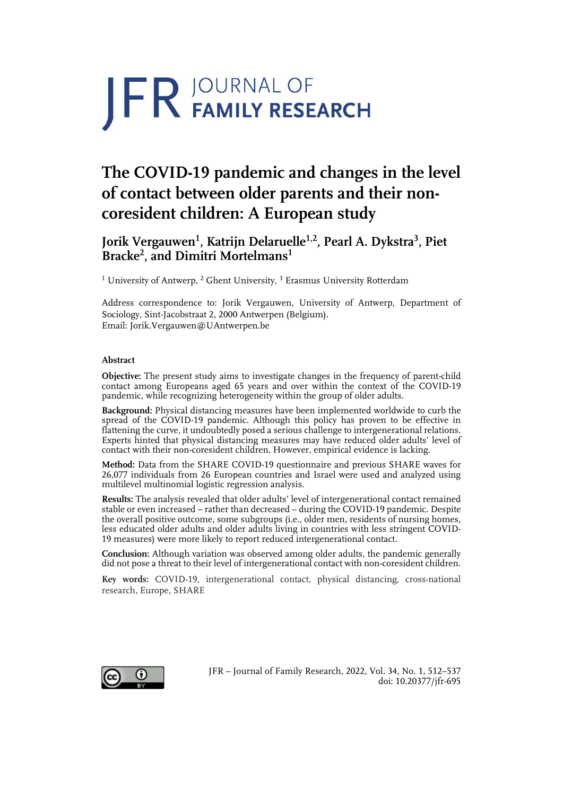# **JFR JOURNAL OF**

# **The COVID-19 pandemic and changes in the level of contact between older parents and their noncoresident children: A European study**

# **Jorik Vergauwen<sup>1</sup> , Katrijn Delaruelle1,2, Pearl A. Dykstra3 , Piet Bracke<sup>2</sup> , and Dimitri Mortelmans1**

<sup>1</sup> University of Antwerp, <sup>2</sup> Ghent University, <sup>3</sup> Erasmus University Rotterdam

Address correspondence to: Jorik Vergauwen, University of Antwerp, Department of Sociology, Sint-Jacobstraat 2, 2000 Antwerpen (Belgium). Email: Jorik.Vergauwen@UAntwerpen.be

#### **Abstract**

**Objective:** The present study aims to investigate changes in the frequency of parent-child contact among Europeans aged 65 years and over within the context of the COVID-19 pandemic, while recognizing heterogeneity within the group of older adults.

**Background:** Physical distancing measures have been implemented worldwide to curb the spread of the COVID-19 pandemic. Although this policy has proven to be effective in flattening the curve, it undoubtedly posed a serious challenge to intergenerational relations. Experts hinted that physical distancing measures may have reduced older adults' level of contact with their non-coresident children. However, empirical evidence is lacking.

**Method:** Data from the SHARE COVID-19 questionnaire and previous SHARE waves for 26,077 individuals from 26 European countries and Israel were used and analyzed using multilevel multinomial logistic regression analysis.

**Results:** The analysis revealed that older adults' level of intergenerational contact remained stable or even increased – rather than decreased – during the COVID-19 pandemic. Despite the overall positive outcome, some subgroups (i.e., older men, residents of nursing homes, less educated older adults and older adults living in countries with less stringent COVID-19 measures) were more likely to report reduced intergenerational contact.

**Conclusion:** Although variation was observed among older adults, the pandemic generally did not pose a threat to their level of intergenerational contact with non-coresident children.

**Key words:** COVID-19, intergenerational contact, physical distancing, cross-national research, Europe, SHARE



JFR – Journal of Family Research, 2022, Vol. 34, No. 1, 512–537 doi: 10.20377/jfr-695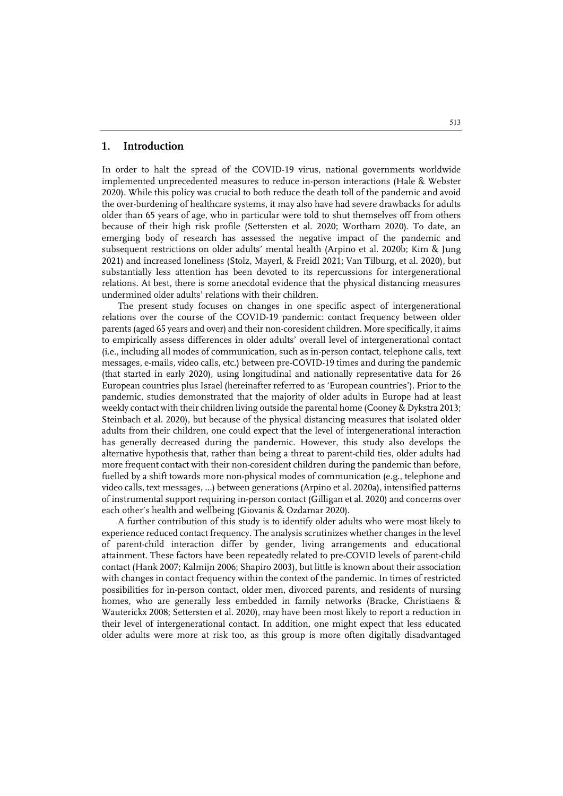#### **1. Introduction**

In order to halt the spread of the COVID-19 virus, national governments worldwide implemented unprecedented measures to reduce in-person interactions (Hale & Webster 2020). While this policy was crucial to both reduce the death toll of the pandemic and avoid the over-burdening of healthcare systems, it may also have had severe drawbacks for adults older than 65 years of age, who in particular were told to shut themselves off from others because of their high risk profile (Settersten et al. 2020; Wortham 2020). To date, an emerging body of research has assessed the negative impact of the pandemic and subsequent restrictions on older adults' mental health (Arpino et al. 2020b; Kim & Jung 2021) and increased loneliness (Stolz, Mayerl, & Freidl 2021; Van Tilburg, et al. 2020), but substantially less attention has been devoted to its repercussions for intergenerational relations. At best, there is some anecdotal evidence that the physical distancing measures undermined older adults' relations with their children.

The present study focuses on changes in one specific aspect of intergenerational relations over the course of the COVID-19 pandemic: contact frequency between older parents (aged 65 years and over) and their non-coresident children. More specifically, it aims to empirically assess differences in older adults' overall level of intergenerational contact (i.e., including all modes of communication, such as in-person contact, telephone calls, text messages, e-mails, video calls, etc.) between pre-COVID-19 times and during the pandemic (that started in early 2020), using longitudinal and nationally representative data for 26 European countries plus Israel (hereinafter referred to as 'European countries'). Prior to the pandemic, studies demonstrated that the majority of older adults in Europe had at least weekly contact with their children living outside the parental home (Cooney & Dykstra 2013; Steinbach et al. 2020), but because of the physical distancing measures that isolated older adults from their children, one could expect that the level of intergenerational interaction has generally decreased during the pandemic. However, this study also develops the alternative hypothesis that, rather than being a threat to parent-child ties, older adults had more frequent contact with their non-coresident children during the pandemic than before, fuelled by a shift towards more non-physical modes of communication (e.g., telephone and video calls, text messages, …) between generations (Arpino et al. 2020a), intensified patterns of instrumental support requiring in-person contact (Gilligan et al. 2020) and concerns over each other's health and wellbeing (Giovanis & Ozdamar 2020).

A further contribution of this study is to identify older adults who were most likely to experience reduced contact frequency. The analysis scrutinizes whether changes in the level of parent-child interaction differ by gender, living arrangements and educational attainment. These factors have been repeatedly related to pre-COVID levels of parent-child contact (Hank 2007; Kalmijn 2006; Shapiro 2003), but little is known about their association with changes in contact frequency within the context of the pandemic. In times of restricted possibilities for in-person contact, older men, divorced parents, and residents of nursing homes, who are generally less embedded in family networks (Bracke, Christiaens & Wauterickx 2008; Settersten et al. 2020), may have been most likely to report a reduction in their level of intergenerational contact. In addition, one might expect that less educated older adults were more at risk too, as this group is more often digitally disadvantaged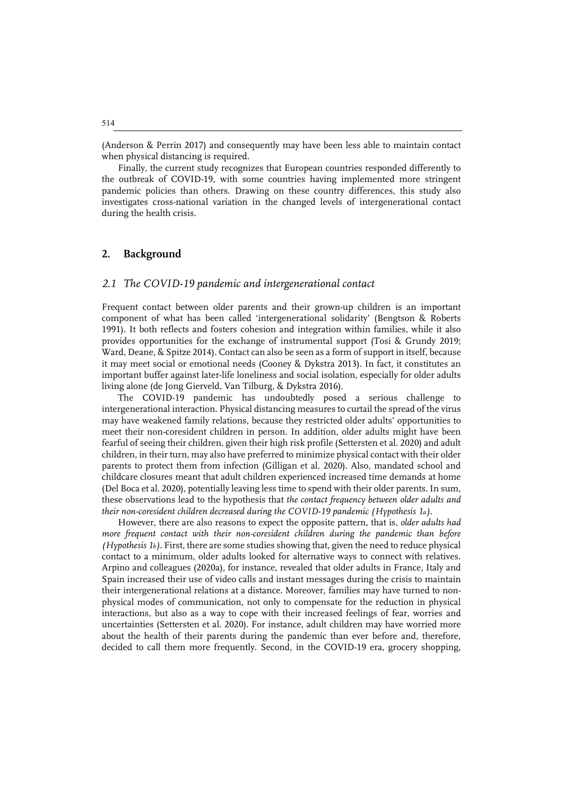(Anderson & Perrin 2017) and consequently may have been less able to maintain contact when physical distancing is required.

Finally, the current study recognizes that European countries responded differently to the outbreak of COVID-19, with some countries having implemented more stringent pandemic policies than others. Drawing on these country differences, this study also investigates cross-national variation in the changed levels of intergenerational contact during the health crisis.

#### **2. Background**

## *2.1 The COVID-19 pandemic and intergenerational contact*

Frequent contact between older parents and their grown-up children is an important component of what has been called 'intergenerational solidarity' (Bengtson & Roberts 1991). It both reflects and fosters cohesion and integration within families, while it also provides opportunities for the exchange of instrumental support (Tosi & Grundy 2019; Ward, Deane, & Spitze 2014). Contact can also be seen as a form of support in itself, because it may meet social or emotional needs (Cooney & Dykstra 2013). In fact, it constitutes an important buffer against later-life loneliness and social isolation, especially for older adults living alone (de Jong Gierveld, Van Tilburg, & Dykstra 2016).

The COVID-19 pandemic has undoubtedly posed a serious challenge to intergenerational interaction. Physical distancing measures to curtail the spread of the virus may have weakened family relations, because they restricted older adults' opportunities to meet their non-coresident children in person. In addition, older adults might have been fearful of seeing their children, given their high risk profile (Settersten et al. 2020) and adult children, in their turn, may also have preferred to minimize physical contact with their older parents to protect them from infection (Gilligan et al. 2020). Also, mandated school and childcare closures meant that adult children experienced increased time demands at home (Del Boca et al. 2020), potentially leaving less time to spend with their older parents. In sum, these observations lead to the hypothesis that *the contact frequency between older adults and their non-coresident children decreased during the COVID-19 pandemic (Hypothesis 1a)*.

However, there are also reasons to expect the opposite pattern, that is, *older adults had more frequent contact with their non-coresident children during the pandemic than before (Hypothesis 1b)*. First, there are some studies showing that, given the need to reduce physical contact to a minimum, older adults looked for alternative ways to connect with relatives. Arpino and colleagues (2020a), for instance, revealed that older adults in France, Italy and Spain increased their use of video calls and instant messages during the crisis to maintain their intergenerational relations at a distance. Moreover, families may have turned to nonphysical modes of communication, not only to compensate for the reduction in physical interactions, but also as a way to cope with their increased feelings of fear, worries and uncertainties (Settersten et al. 2020). For instance, adult children may have worried more about the health of their parents during the pandemic than ever before and, therefore, decided to call them more frequently. Second, in the COVID-19 era, grocery shopping,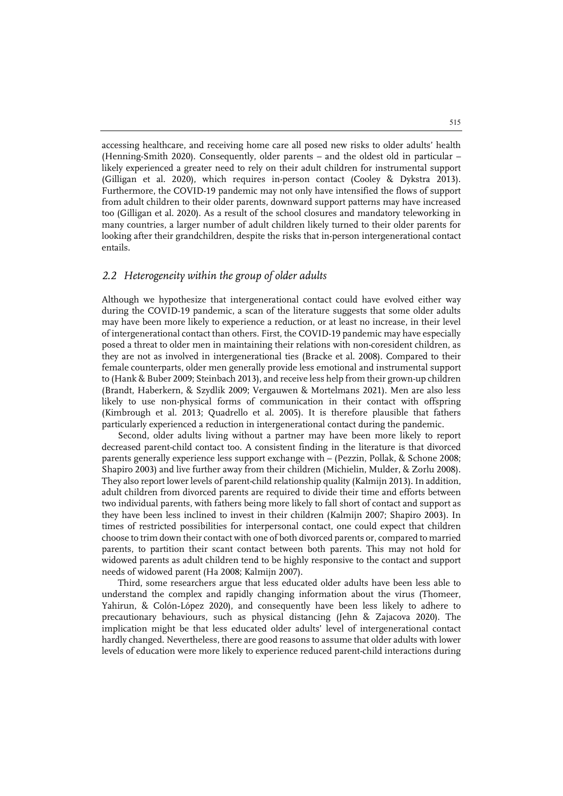accessing healthcare, and receiving home care all posed new risks to older adults' health (Henning-Smith 2020). Consequently, older parents – and the oldest old in particular – likely experienced a greater need to rely on their adult children for instrumental support (Gilligan et al. 2020), which requires in-person contact (Cooley & Dykstra 2013). Furthermore, the COVID-19 pandemic may not only have intensified the flows of support from adult children to their older parents, downward support patterns may have increased too (Gilligan et al. 2020). As a result of the school closures and mandatory teleworking in many countries, a larger number of adult children likely turned to their older parents for looking after their grandchildren, despite the risks that in-person intergenerational contact entails.

#### *2.2 Heterogeneity within the group of older adults*

Although we hypothesize that intergenerational contact could have evolved either way during the COVID-19 pandemic, a scan of the literature suggests that some older adults may have been more likely to experience a reduction, or at least no increase, in their level of intergenerational contact than others. First, the COVID-19 pandemic may have especially posed a threat to older men in maintaining their relations with non-coresident children, as they are not as involved in intergenerational ties (Bracke et al. 2008). Compared to their female counterparts, older men generally provide less emotional and instrumental support to (Hank & Buber 2009; Steinbach 2013), and receive less help from their grown-up children (Brandt, Haberkern, & Szydlik 2009; Vergauwen & Mortelmans 2021). Men are also less likely to use non-physical forms of communication in their contact with offspring (Kimbrough et al. 2013; Quadrello et al. 2005). It is therefore plausible that fathers particularly experienced a reduction in intergenerational contact during the pandemic.

Second, older adults living without a partner may have been more likely to report decreased parent-child contact too. A consistent finding in the literature is that divorced parents generally experience less support exchange with – (Pezzin, Pollak, & Schone 2008; Shapiro 2003) and live further away from their children (Michielin, Mulder, & Zorlu 2008). They also report lower levels of parent-child relationship quality (Kalmijn 2013). In addition, adult children from divorced parents are required to divide their time and efforts between two individual parents, with fathers being more likely to fall short of contact and support as they have been less inclined to invest in their children (Kalmijn 2007; Shapiro 2003). In times of restricted possibilities for interpersonal contact, one could expect that children choose to trim down their contact with one of both divorced parents or, compared to married parents, to partition their scant contact between both parents. This may not hold for widowed parents as adult children tend to be highly responsive to the contact and support needs of widowed parent (Ha 2008; Kalmijn 2007).

Third, some researchers argue that less educated older adults have been less able to understand the complex and rapidly changing information about the virus (Thomeer, Yahirun, & Colón‐López 2020), and consequently have been less likely to adhere to precautionary behaviours, such as physical distancing (Jehn & Zajacova 2020). The implication might be that less educated older adults' level of intergenerational contact hardly changed. Nevertheless, there are good reasons to assume that older adults with lower levels of education were more likely to experience reduced parent-child interactions during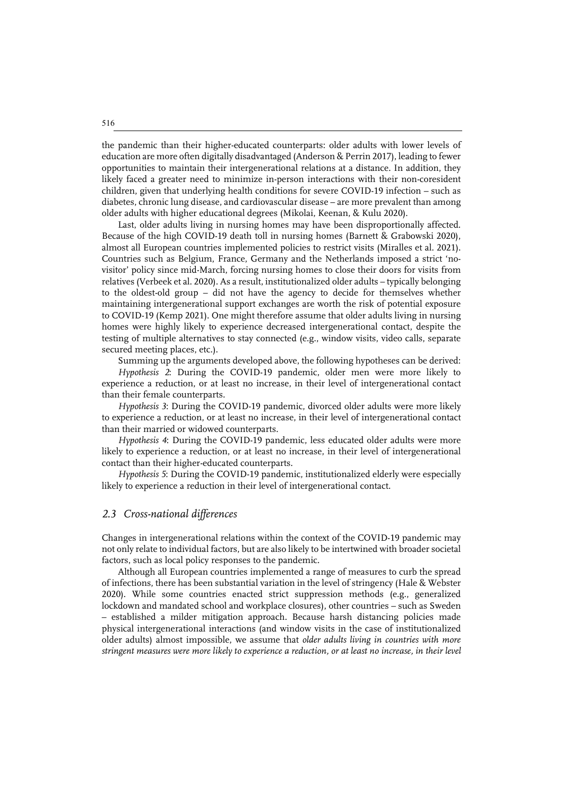the pandemic than their higher-educated counterparts: older adults with lower levels of education are more often digitally disadvantaged (Anderson & Perrin 2017), leading to fewer opportunities to maintain their intergenerational relations at a distance. In addition, they likely faced a greater need to minimize in-person interactions with their non-coresident children, given that underlying health conditions for severe COVID-19 infection – such as diabetes, chronic lung disease, and cardiovascular disease – are more prevalent than among older adults with higher educational degrees (Mikolai, Keenan, & Kulu 2020).

Last, older adults living in nursing homes may have been disproportionally affected. Because of the high COVID-19 death toll in nursing homes (Barnett & Grabowski 2020), almost all European countries implemented policies to restrict visits (Miralles et al. 2021). Countries such as Belgium, France, Germany and the Netherlands imposed a strict 'novisitor' policy since mid-March, forcing nursing homes to close their doors for visits from relatives (Verbeek et al. 2020). As a result, institutionalized older adults – typically belonging to the oldest-old group – did not have the agency to decide for themselves whether maintaining intergenerational support exchanges are worth the risk of potential exposure to COVID-19 (Kemp 2021). One might therefore assume that older adults living in nursing homes were highly likely to experience decreased intergenerational contact, despite the testing of multiple alternatives to stay connected (e.g., window visits, video calls, separate secured meeting places, etc.).

Summing up the arguments developed above, the following hypotheses can be derived:

*Hypothesis 2*: During the COVID-19 pandemic, older men were more likely to experience a reduction, or at least no increase, in their level of intergenerational contact than their female counterparts.

*Hypothesis 3*: During the COVID-19 pandemic, divorced older adults were more likely to experience a reduction, or at least no increase, in their level of intergenerational contact than their married or widowed counterparts.

*Hypothesis 4*: During the COVID-19 pandemic, less educated older adults were more likely to experience a reduction, or at least no increase, in their level of intergenerational contact than their higher-educated counterparts.

*Hypothesis 5*: During the COVID-19 pandemic, institutionalized elderly were especially likely to experience a reduction in their level of intergenerational contact.

#### *2.3 Cross-national differences*

Changes in intergenerational relations within the context of the COVID-19 pandemic may not only relate to individual factors, but are also likely to be intertwined with broader societal factors, such as local policy responses to the pandemic.

Although all European countries implemented a range of measures to curb the spread of infections, there has been substantial variation in the level of stringency (Hale & Webster 2020). While some countries enacted strict suppression methods (e.g., generalized lockdown and mandated school and workplace closures), other countries – such as Sweden – established a milder mitigation approach. Because harsh distancing policies made physical intergenerational interactions (and window visits in the case of institutionalized older adults) almost impossible, we assume that *older adults living in countries with more stringent measures were more likely to experience a reduction, or at least no increase, in their level*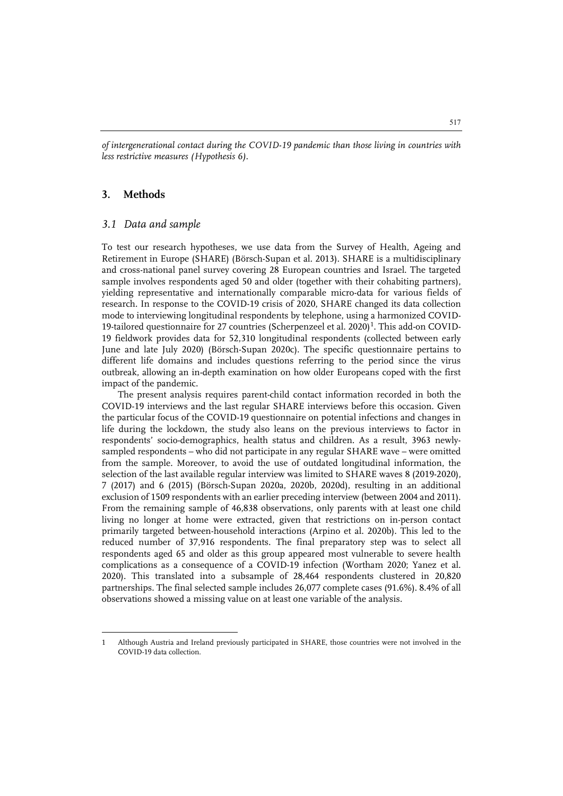*of intergenerational contact during the COVID-19 pandemic than those living in countries with less restrictive measures (Hypothesis 6)*.

#### **3. Methods**

j

#### *3.1 Data and sample*

To test our research hypotheses, we use data from the Survey of Health, Ageing and Retirement in Europe (SHARE) (Börsch-Supan et al. 2013). SHARE is a multidisciplinary and cross-national panel survey covering 28 European countries and Israel. The targeted sample involves respondents aged 50 and older (together with their cohabiting partners), yielding representative and internationally comparable micro-data for various fields of research. In response to the COVID-19 crisis of 2020, SHARE changed its data collection mode to interviewing longitudinal respondents by telephone, using a harmonized COVID-[1](#page-5-0)9-tailored questionnaire for 27 countries (Scherpenzeel et al. 2020)<sup>1</sup>. This add-on COVID-19 fieldwork provides data for 52,310 longitudinal respondents (collected between early June and late July 2020) (Börsch-Supan 2020c). The specific questionnaire pertains to different life domains and includes questions referring to the period since the virus outbreak, allowing an in-depth examination on how older Europeans coped with the first impact of the pandemic.

The present analysis requires parent-child contact information recorded in both the COVID-19 interviews and the last regular SHARE interviews before this occasion. Given the particular focus of the COVID-19 questionnaire on potential infections and changes in life during the lockdown, the study also leans on the previous interviews to factor in respondents' socio-demographics, health status and children. As a result, 3963 newlysampled respondents – who did not participate in any regular SHARE wave – were omitted from the sample. Moreover, to avoid the use of outdated longitudinal information, the selection of the last available regular interview was limited to SHARE waves 8 (2019-2020), 7 (2017) and 6 (2015) (Börsch-Supan 2020a, 2020b, 2020d), resulting in an additional exclusion of 1509 respondents with an earlier preceding interview (between 2004 and 2011). From the remaining sample of 46,838 observations, only parents with at least one child living no longer at home were extracted, given that restrictions on in-person contact primarily targeted between-household interactions (Arpino et al. 2020b). This led to the reduced number of 37,916 respondents. The final preparatory step was to select all respondents aged 65 and older as this group appeared most vulnerable to severe health complications as a consequence of a COVID-19 infection (Wortham 2020; Yanez et al. 2020). This translated into a subsample of 28,464 respondents clustered in 20,820 partnerships. The final selected sample includes 26,077 complete cases (91.6%). 8.4% of all observations showed a missing value on at least one variable of the analysis.

<span id="page-5-0"></span><sup>1</sup> Although Austria and Ireland previously participated in SHARE, those countries were not involved in the COVID-19 data collection.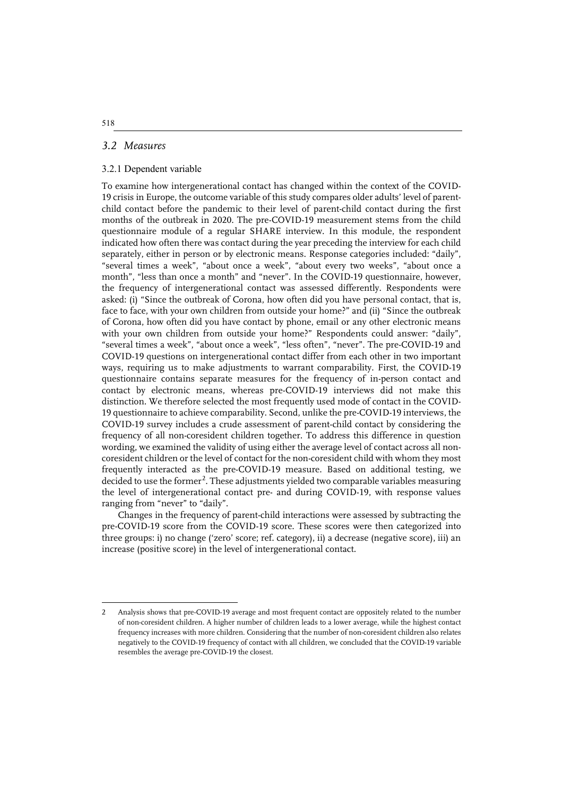#### *3.2 Measures*

#### 3.2.1 Dependent variable

To examine how intergenerational contact has changed within the context of the COVID-19 crisis in Europe, the outcome variable of this study compares older adults' level of parentchild contact before the pandemic to their level of parent-child contact during the first months of the outbreak in 2020. The pre-COVID-19 measurement stems from the child questionnaire module of a regular SHARE interview. In this module, the respondent indicated how often there was contact during the year preceding the interview for each child separately, either in person or by electronic means. Response categories included: "daily", "several times a week", "about once a week", "about every two weeks", "about once a month", "less than once a month" and "never". In the COVID-19 questionnaire, however, the frequency of intergenerational contact was assessed differently. Respondents were asked: (i) "Since the outbreak of Corona, how often did you have personal contact, that is, face to face, with your own children from outside your home?" and (ii) "Since the outbreak of Corona, how often did you have contact by phone, email or any other electronic means with your own children from outside your home?" Respondents could answer: "daily", "several times a week", "about once a week", "less often", "never". The pre-COVID-19 and COVID-19 questions on intergenerational contact differ from each other in two important ways, requiring us to make adjustments to warrant comparability. First, the COVID-19 questionnaire contains separate measures for the frequency of in-person contact and contact by electronic means, whereas pre-COVID-19 interviews did not make this distinction. We therefore selected the most frequently used mode of contact in the COVID-19 questionnaire to achieve comparability. Second, unlike the pre-COVID-19 interviews, the COVID-19 survey includes a crude assessment of parent-child contact by considering the frequency of all non-coresident children together. To address this difference in question wording, we examined the validity of using either the average level of contact across all noncoresident children or the level of contact for the non-coresident child with whom they most frequently interacted as the pre-COVID-19 measure. Based on additional testing, we decided to use the former<sup>[2](#page-6-0)</sup>. These adjustments yielded two comparable variables measuring the level of intergenerational contact pre- and during COVID-19, with response values ranging from "never" to "daily".

Changes in the frequency of parent-child interactions were assessed by subtracting the pre-COVID-19 score from the COVID-19 score. These scores were then categorized into three groups: i) no change ('zero' score; ref. category), ii) a decrease (negative score), iii) an increase (positive score) in the level of intergenerational contact.

 $\ddot{ }$ 

<span id="page-6-0"></span><sup>2</sup> Analysis shows that pre-COVID-19 average and most frequent contact are oppositely related to the number of non-coresident children. A higher number of children leads to a lower average, while the highest contact frequency increases with more children. Considering that the number of non-coresident children also relates negatively to the COVID-19 frequency of contact with all children, we concluded that the COVID-19 variable resembles the average pre-COVID-19 the closest.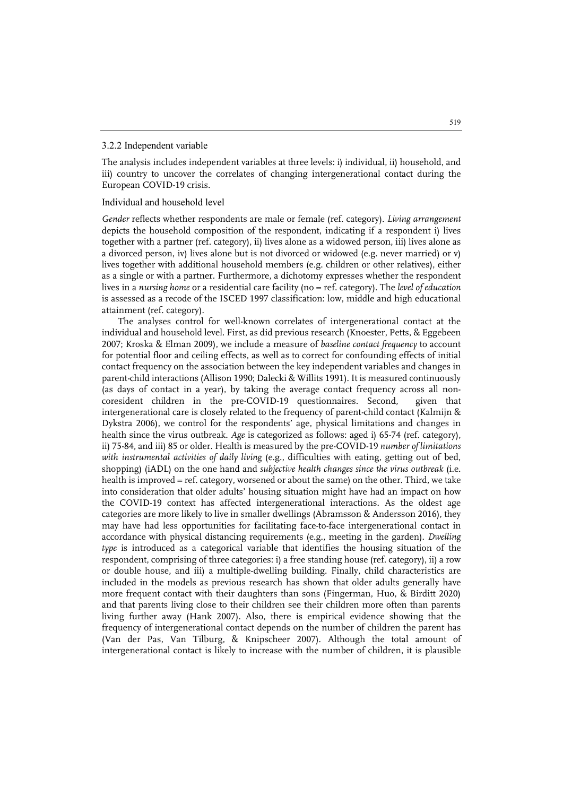#### 3.2.2 Independent variable

The analysis includes independent variables at three levels: i) individual, ii) household, and iii) country to uncover the correlates of changing intergenerational contact during the European COVID-19 crisis.

#### Individual and household level

*Gender* reflects whether respondents are male or female (ref. category). *Living arrangement* depicts the household composition of the respondent, indicating if a respondent i) lives together with a partner (ref. category), ii) lives alone as a widowed person, iii) lives alone as a divorced person, iv) lives alone but is not divorced or widowed (e.g. never married) or v) lives together with additional household members (e.g. children or other relatives), either as a single or with a partner. Furthermore, a dichotomy expresses whether the respondent lives in a *nursing home* or a residential care facility (no = ref. category). The *level of education* is assessed as a recode of the ISCED 1997 classification: low, middle and high educational attainment (ref. category).

The analyses control for well-known correlates of intergenerational contact at the individual and household level. First, as did previous research (Knoester, Petts, & Eggebeen 2007; Kroska & Elman 2009), we include a measure of *baseline contact frequency* to account for potential floor and ceiling effects, as well as to correct for confounding effects of initial contact frequency on the association between the key independent variables and changes in parent-child interactions (Allison 1990; Dalecki & Willits 1991). It is measured continuously (as days of contact in a year), by taking the average contact frequency across all noncoresident children in the pre-COVID-19 questionnaires. Second, given that intergenerational care is closely related to the frequency of parent-child contact (Kalmijn & Dykstra 2006), we control for the respondents' age, physical limitations and changes in health since the virus outbreak. *Age* is categorized as follows: aged i) 65-74 (ref. category), ii) 75-84, and iii) 85 or older. Health is measured by the pre-COVID-19 *number of limitations with instrumental activities of daily living* (e.g., difficulties with eating, getting out of bed, shopping) (iADL) on the one hand and *subjective health changes since the virus outbreak* (i.e. health is improved = ref. category, worsened or about the same) on the other. Third, we take into consideration that older adults' housing situation might have had an impact on how the COVID-19 context has affected intergenerational interactions. As the oldest age categories are more likely to live in smaller dwellings (Abramsson & Andersson 2016), they may have had less opportunities for facilitating face-to-face intergenerational contact in accordance with physical distancing requirements (e.g., meeting in the garden). *Dwelling type* is introduced as a categorical variable that identifies the housing situation of the respondent, comprising of three categories: i) a free standing house (ref. category), ii) a row or double house, and iii) a multiple-dwelling building. Finally, child characteristics are included in the models as previous research has shown that older adults generally have more frequent contact with their daughters than sons (Fingerman, Huo, & Birditt 2020) and that parents living close to their children see their children more often than parents living further away (Hank 2007). Also, there is empirical evidence showing that the frequency of intergenerational contact depends on the number of children the parent has (Van der Pas, Van Tilburg, & Knipscheer 2007). Although the total amount of intergenerational contact is likely to increase with the number of children, it is plausible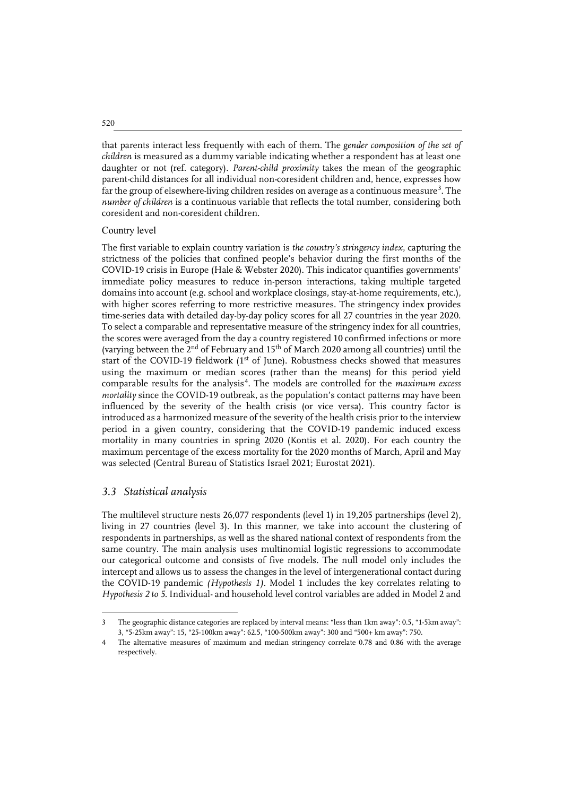that parents interact less frequently with each of them. The *gender composition of the set of children* is measured as a dummy variable indicating whether a respondent has at least one daughter or not (ref. category). *Parent-child proximity* takes the mean of the geographic parent-child distances for all individual non-coresident children and, hence, expresses how far the group of elsewhere-living children resides on average as a continuous measure<sup>3</sup>. The *number of children* is a continuous variable that reflects the total number, considering both coresident and non-coresident children.

#### Country level

The first variable to explain country variation is *the country's stringency index*, capturing the strictness of the policies that confined people's behavior during the first months of the COVID-19 crisis in Europe (Hale & Webster 2020). This indicator quantifies governments' immediate policy measures to reduce in-person interactions, taking multiple targeted domains into account (e.g. school and workplace closings, stay-at-home requirements, etc.), with higher scores referring to more restrictive measures. The stringency index provides time-series data with detailed day-by-day policy scores for all 27 countries in the year 2020. To select a comparable and representative measure of the stringency index for all countries, the scores were averaged from the day a country registered 10 confirmed infections or more (varying between the  $2<sup>nd</sup>$  of February and  $15<sup>th</sup>$  of March 2020 among all countries) until the start of the COVID-19 fieldwork ( $1<sup>st</sup>$  of June). Robustness checks showed that measures using the maximum or median scores (rather than the means) for this period yield comparable results for the analysis[4](#page-8-1). The models are controlled for the *maximum excess mortality* since the COVID-19 outbreak, as the population's contact patterns may have been influenced by the severity of the health crisis (or vice versa). This country factor is introduced as a harmonized measure of the severity of the health crisis prior to the interview period in a given country, considering that the COVID-19 pandemic induced excess mortality in many countries in spring 2020 (Kontis et al. 2020). For each country the maximum percentage of the excess mortality for the 2020 months of March, April and May was selected (Central Bureau of Statistics Israel 2021; Eurostat 2021).

# *3.3 Statistical analysis*

j

The multilevel structure nests 26,077 respondents (level 1) in 19,205 partnerships (level 2), living in 27 countries (level 3). In this manner, we take into account the clustering of respondents in partnerships, as well as the shared national context of respondents from the same country. The main analysis uses multinomial logistic regressions to accommodate our categorical outcome and consists of five models. The null model only includes the intercept and allows us to assess the changes in the level of intergenerational contact during the COVID-19 pandemic *(Hypothesis 1)*. Model 1 includes the key correlates relating to *Hypothesis 2 to 5*. Individual- and household level control variables are added in Model 2 and

520

<span id="page-8-0"></span><sup>3</sup> The geographic distance categories are replaced by interval means: "less than 1km away": 0.5, "1-5km away": 3, "5-25km away": 15, "25-100km away": 62.5, "100-500km away": 300 and "500+ km away": 750.

<span id="page-8-1"></span>The alternative measures of maximum and median stringency correlate 0.78 and 0.86 with the average respectively.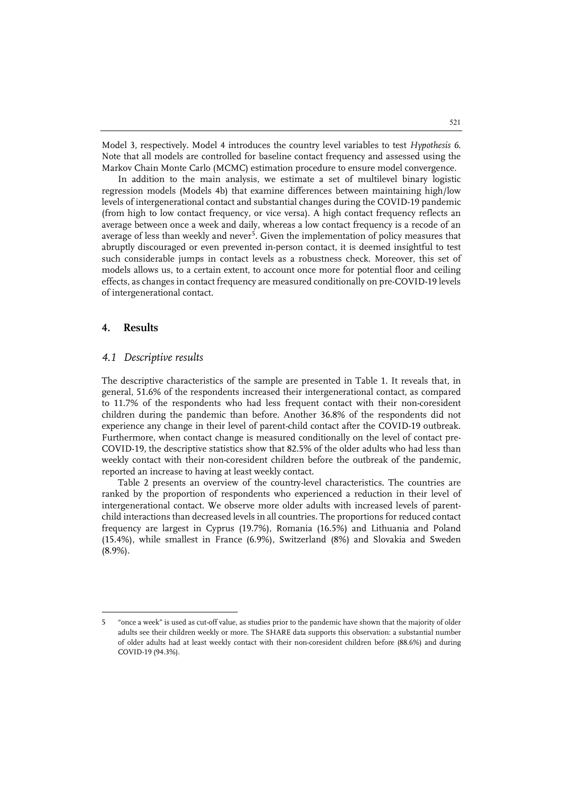Model 3, respectively. Model 4 introduces the country level variables to test *Hypothesis 6*. Note that all models are controlled for baseline contact frequency and assessed using the Markov Chain Monte Carlo (MCMC) estimation procedure to ensure model convergence.

In addition to the main analysis, we estimate a set of multilevel binary logistic regression models (Models 4b) that examine differences between maintaining high/low levels of intergenerational contact and substantial changes during the COVID-19 pandemic (from high to low contact frequency, or vice versa). A high contact frequency reflects an average between once a week and daily, whereas a low contact frequency is a recode of an average of less than weekly and never<sup>[5](#page-9-0)</sup>. Given the implementation of policy measures that abruptly discouraged or even prevented in-person contact, it is deemed insightful to test such considerable jumps in contact levels as a robustness check. Moreover, this set of models allows us, to a certain extent, to account once more for potential floor and ceiling effects, as changes in contact frequency are measured conditionally on pre-COVID-19 levels of intergenerational contact.

#### **4. Results**

j

#### *4.1 Descriptive results*

The descriptive characteristics of the sample are presented in Table 1. It reveals that, in general, 51.6% of the respondents increased their intergenerational contact, as compared to 11.7% of the respondents who had less frequent contact with their non-coresident children during the pandemic than before. Another 36.8% of the respondents did not experience any change in their level of parent-child contact after the COVID-19 outbreak. Furthermore, when contact change is measured conditionally on the level of contact pre-COVID-19, the descriptive statistics show that 82.5% of the older adults who had less than weekly contact with their non-coresident children before the outbreak of the pandemic, reported an increase to having at least weekly contact.

Table 2 presents an overview of the country-level characteristics. The countries are ranked by the proportion of respondents who experienced a reduction in their level of intergenerational contact. We observe more older adults with increased levels of parentchild interactions than decreased levels in all countries. The proportions for reduced contact frequency are largest in Cyprus (19.7%), Romania (16.5%) and Lithuania and Poland (15.4%), while smallest in France (6.9%), Switzerland (8%) and Slovakia and Sweden (8.9%).

<span id="page-9-0"></span><sup>5 &</sup>quot;once a week" is used as cut-off value, as studies prior to the pandemic have shown that the majority of older adults see their children weekly or more. The SHARE data supports this observation: a substantial number of older adults had at least weekly contact with their non-coresident children before (88.6%) and during COVID-19 (94.3%).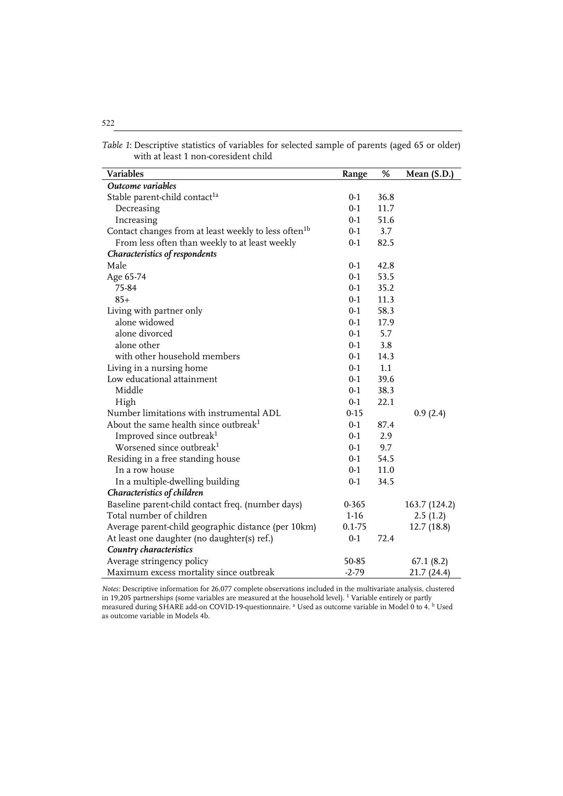|                                      | Table 1: Descriptive statistics of variables for selected sample of parents (aged 65 or older) |
|--------------------------------------|------------------------------------------------------------------------------------------------|
| with at least 1 non-coresident child |                                                                                                |

| <b>Variables</b>                                                 | Range      | $\%$ | Mean (S.D.)   |
|------------------------------------------------------------------|------------|------|---------------|
| Outcome variables                                                |            |      |               |
| Stable parent-child contact <sup>1a</sup>                        | $0 - 1$    | 36.8 |               |
| Decreasing                                                       | $0 - 1$    | 11.7 |               |
| Increasing                                                       | $0 - 1$    | 51.6 |               |
| Contact changes from at least weekly to less often <sup>1b</sup> | $0-1$      | 3.7  |               |
| From less often than weekly to at least weekly                   | $0-1$      | 82.5 |               |
| Characteristics of respondents                                   |            |      |               |
| Male                                                             | $0 - 1$    | 42.8 |               |
| Age 65-74                                                        | $0-1$      | 53.5 |               |
| 75-84                                                            | $0-1$      | 35.2 |               |
| $85+$                                                            | $0-1$      | 11.3 |               |
| Living with partner only                                         | $0-1$      | 58.3 |               |
| alone widowed                                                    | $0-1$      | 17.9 |               |
| alone divorced                                                   | $0-1$      | 5.7  |               |
| alone other                                                      | $0-1$      | 3.8  |               |
| with other household members                                     | $0-1$      | 14.3 |               |
| Living in a nursing home                                         | $0-1$      | 1.1  |               |
| Low educational attainment                                       | $0-1$      | 39.6 |               |
| Middle                                                           | $0-1$      | 38.3 |               |
| High                                                             | $0 - 1$    | 22.1 |               |
| Number limitations with instrumental ADL                         | $0 - 15$   |      | 0.9(2.4)      |
| About the same health since outbreak <sup>1</sup>                | $0-1$      | 87.4 |               |
| Improved since outbreak <sup>1</sup>                             | $0-1$      | 2.9  |               |
| Worsened since outbreak <sup>1</sup>                             | $0 - 1$    | 9.7  |               |
| Residing in a free standing house                                | $0-1$      | 54.5 |               |
| In a row house                                                   | $0-1$      | 11.0 |               |
| In a multiple-dwelling building                                  | $0-1$      | 34.5 |               |
| Characteristics of children                                      |            |      |               |
| Baseline parent-child contact freq. (number days)                | 0-365      |      | 163.7 (124.2) |
| Total number of children                                         | $1 - 16$   |      | 2.5(1.2)      |
| Average parent-child geographic distance (per 10km)              | $0.1 - 75$ |      | 12.7 (18.8)   |
| At least one daughter (no daughter(s) ref.)                      | $0-1$      | 72.4 |               |
| Country characteristics                                          |            |      |               |
| Average stringency policy                                        | 50-85      |      | 67.1(8.2)     |
| Maximum excess mortality since outbreak                          | $-2 - 79$  |      | 21.7 (24.4)   |

*Notes:* Descriptive information for 26,077 complete observations included in the multivariate analysis, clustered in 19,205 partnerships (some variables are measured at the household level).  $^1$  Variable entirely or partly measured during SHARE add-on COVID-19-questionnaire. <sup>a</sup> Used as outcome variable in Model 0 to 4. <sup>b</sup> Used as outcome variable in Models 4b.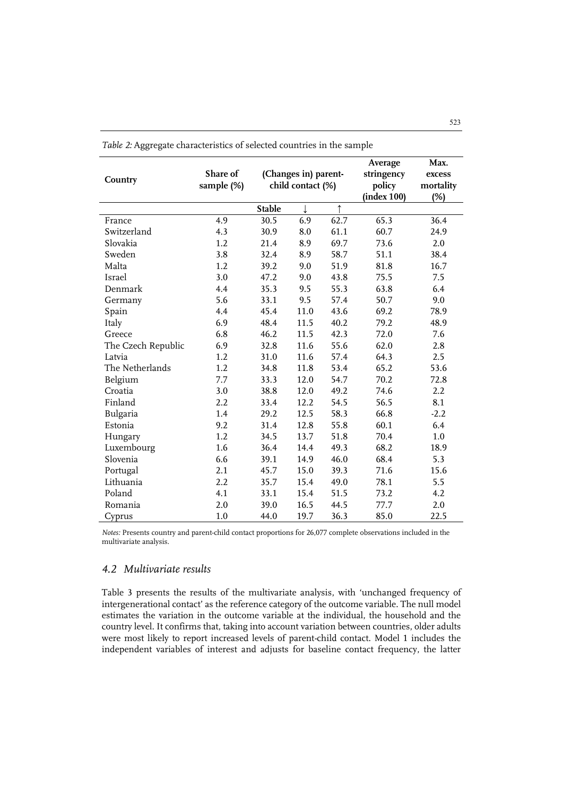| Country            | Share of<br>sample (%) |               | (Changes in) parent-<br>child contact (%) |            | Average<br>stringency<br>policy<br>(index 100) | Max.<br>excess<br>mortality<br>(%) |
|--------------------|------------------------|---------------|-------------------------------------------|------------|------------------------------------------------|------------------------------------|
|                    |                        | <b>Stable</b> |                                           | $\uparrow$ |                                                |                                    |
| France             | 4.9                    | 30.5          | 6.9                                       | 62.7       | 65.3                                           | 36.4                               |
| Switzerland        | 4.3                    | 30.9          | 8.0                                       | 61.1       | 60.7                                           | 24.9                               |
| Slovakia           | 1.2                    | 21.4          | 8.9                                       | 69.7       | 73.6                                           | 2.0                                |
| Sweden             | 3.8                    | 32.4          | 8.9                                       | 58.7       | 51.1                                           | 38.4                               |
| Malta              | 1.2                    | 39.2          | 9.0                                       | 51.9       | 81.8                                           | 16.7                               |
| Israel             | 3.0                    | 47.2          | 9.0                                       | 43.8       | 75.5                                           | 7.5                                |
| Denmark            | 4.4                    | 35.3          | 9.5                                       | 55.3       | 63.8                                           | 6.4                                |
| Germany            | 5.6                    | 33.1          | 9.5                                       | 57.4       | 50.7                                           | 9.0                                |
| Spain              | 4.4                    | 45.4          | 11.0                                      | 43.6       | 69.2                                           | 78.9                               |
| Italy              | 6.9                    | 48.4          | 11.5                                      | 40.2       | 79.2                                           | 48.9                               |
| Greece             | 6.8                    | 46.2          | 11.5                                      | 42.3       | 72.0                                           | 7.6                                |
| The Czech Republic | 6.9                    | 32.8          | 11.6                                      | 55.6       | 62.0                                           | 2.8                                |
| Latvia             | 1.2                    | 31.0          | 11.6                                      | 57.4       | 64.3                                           | 2.5                                |
| The Netherlands    | 1.2                    | 34.8          | 11.8                                      | 53.4       | 65.2                                           | 53.6                               |
| Belgium            | 7.7                    | 33.3          | 12.0                                      | 54.7       | 70.2                                           | 72.8                               |
| Croatia            | 3.0                    | 38.8          | 12.0                                      | 49.2       | 74.6                                           | 2.2                                |
| Finland            | 2.2                    | 33.4          | 12.2                                      | 54.5       | 56.5                                           | 8.1                                |
| Bulgaria           | 1.4                    | 29.2          | 12.5                                      | 58.3       | 66.8                                           | $-2.2$                             |
| Estonia            | 9.2                    | 31.4          | 12.8                                      | 55.8       | 60.1                                           | 6.4                                |
| Hungary            | 1.2                    | 34.5          | 13.7                                      | 51.8       | 70.4                                           | 1.0                                |
| Luxembourg         | 1.6                    | 36.4          | 14.4                                      | 49.3       | 68.2                                           | 18.9                               |
| Slovenia           | 6.6                    | 39.1          | 14.9                                      | 46.0       | 68.4                                           | 5.3                                |
| Portugal           | 2.1                    | 45.7          | 15.0                                      | 39.3       | 71.6                                           | 15.6                               |
| Lithuania          | $2.2\,$                | 35.7          | 15.4                                      | 49.0       | 78.1                                           | 5.5                                |
| Poland             | 4.1                    | 33.1          | 15.4                                      | 51.5       | 73.2                                           | 4.2                                |
| Romania            | 2.0                    | 39.0          | 16.5                                      | 44.5       | 77.7                                           | 2.0                                |
| Cyprus             | 1.0                    | 44.0          | 19.7                                      | 36.3       | 85.0                                           | 22.5                               |

*Table 2:* Aggregate characteristics of selected countries in the sample

*Notes:* Presents country and parent-child contact proportions for 26,077 complete observations included in the multivariate analysis.

# *4.2 Multivariate results*

Table 3 presents the results of the multivariate analysis, with 'unchanged frequency of intergenerational contact' as the reference category of the outcome variable. The null model estimates the variation in the outcome variable at the individual, the household and the country level. It confirms that, taking into account variation between countries, older adults were most likely to report increased levels of parent-child contact. Model 1 includes the independent variables of interest and adjusts for baseline contact frequency, the latter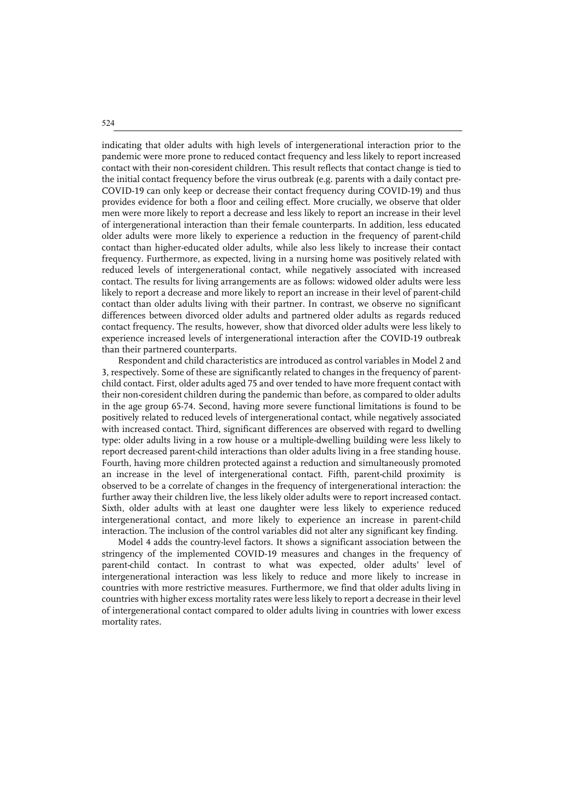indicating that older adults with high levels of intergenerational interaction prior to the pandemic were more prone to reduced contact frequency and less likely to report increased contact with their non-coresident children. This result reflects that contact change is tied to the initial contact frequency before the virus outbreak (e.g. parents with a daily contact pre-COVID-19 can only keep or decrease their contact frequency during COVID-19) and thus provides evidence for both a floor and ceiling effect. More crucially, we observe that older men were more likely to report a decrease and less likely to report an increase in their level of intergenerational interaction than their female counterparts. In addition, less educated older adults were more likely to experience a reduction in the frequency of parent-child contact than higher-educated older adults, while also less likely to increase their contact frequency. Furthermore, as expected, living in a nursing home was positively related with reduced levels of intergenerational contact, while negatively associated with increased contact. The results for living arrangements are as follows: widowed older adults were less likely to report a decrease and more likely to report an increase in their level of parent-child contact than older adults living with their partner. In contrast, we observe no significant differences between divorced older adults and partnered older adults as regards reduced contact frequency. The results, however, show that divorced older adults were less likely to experience increased levels of intergenerational interaction after the COVID-19 outbreak than their partnered counterparts.

Respondent and child characteristics are introduced as control variables in Model 2 and 3, respectively. Some of these are significantly related to changes in the frequency of parentchild contact. First, older adults aged 75 and over tended to have more frequent contact with their non-coresident children during the pandemic than before, as compared to older adults in the age group 65-74. Second, having more severe functional limitations is found to be positively related to reduced levels of intergenerational contact, while negatively associated with increased contact. Third, significant differences are observed with regard to dwelling type: older adults living in a row house or a multiple-dwelling building were less likely to report decreased parent-child interactions than older adults living in a free standing house. Fourth, having more children protected against a reduction and simultaneously promoted an increase in the level of intergenerational contact. Fifth, parent-child proximity is observed to be a correlate of changes in the frequency of intergenerational interaction: the further away their children live, the less likely older adults were to report increased contact. Sixth, older adults with at least one daughter were less likely to experience reduced intergenerational contact, and more likely to experience an increase in parent-child interaction. The inclusion of the control variables did not alter any significant key finding.

Model 4 adds the country-level factors. It shows a significant association between the stringency of the implemented COVID-19 measures and changes in the frequency of parent-child contact. In contrast to what was expected, older adults' level of intergenerational interaction was less likely to reduce and more likely to increase in countries with more restrictive measures. Furthermore, we find that older adults living in countries with higher excess mortality rates were less likely to report a decrease in their level of intergenerational contact compared to older adults living in countries with lower excess mortality rates.

524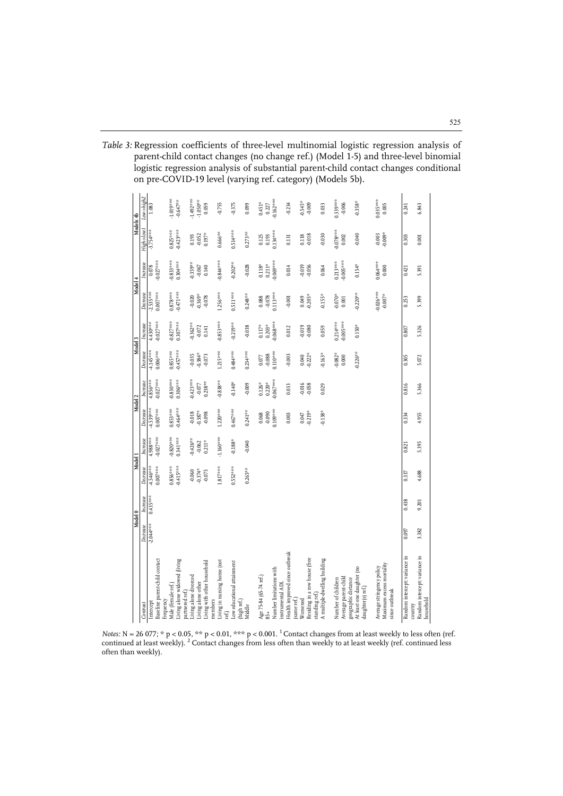|           | Contrast   | Baseline parent-child contact<br>Intercept | frequency  | Living alone widowed (living<br>Male (female ref.) | partnered ref.) | Living alone divorced | Living alone other | Living with other household<br>members | Living in nursing home (not<br>ref.) | Low educational attainment | (high ref.)<br>Middle | Number limitations with<br>Age 75-84 (65-74 ref.)<br>85+ | Health improved since outbreak<br>instrumental ADI | Residing in a row house (free<br>(same ref.)<br>Worsened | A multiple-dwelling building<br>standing ref. | Average parent-child<br>Number of children | At least one daughter (no<br>geographic distance<br>daughter(s) ref.) | Maximum excess mortality<br>Average stringency policy<br>since outbreak | Random intercept: variance in | Random intercept: variance in<br>country |
|-----------|------------|--------------------------------------------|------------|----------------------------------------------------|-----------------|-----------------------|--------------------|----------------------------------------|--------------------------------------|----------------------------|-----------------------|----------------------------------------------------------|----------------------------------------------------|----------------------------------------------------------|-----------------------------------------------|--------------------------------------------|-----------------------------------------------------------------------|-------------------------------------------------------------------------|-------------------------------|------------------------------------------|
| Model 0   | Decrease   | $-2.044***$                                |            |                                                    |                 |                       |                    |                                        |                                      |                            |                       |                                                          |                                                    |                                                          |                                               |                                            |                                                                       |                                                                         | 0.097                         | 3.382                                    |
|           | Increase   | $0.435***$                                 |            |                                                    |                 |                       |                    |                                        |                                      |                            |                       |                                                          |                                                    |                                                          |                                               |                                            |                                                                       |                                                                         | 0.438                         | 9.201                                    |
|           | Decrease   | 4.546***<br>$0.007***$                     |            | $0.415***$<br>$0.856***$                           |                 | $-0.060$              | $-0.374*$          | $-0.075$                               | $1.817***$                           | $0.552***$                 | $0.265***$            |                                                          |                                                    |                                                          |                                               |                                            |                                                                       |                                                                         | 0.337                         | 4.688                                    |
| Model 1   | Increase   | $-0.027***$<br>$4.988***$                  | $0.820***$ | $0.341***$                                         |                 | $-0.426***$           | $-0.062$           | $0.211*$                               | $-1.160***$                          | $-0.188*$                  | $-0.040$              |                                                          |                                                    |                                                          |                                               |                                            |                                                                       |                                                                         | 0.821                         | 5.395                                    |
|           | Decrease   | 4.539***<br>$0.007***$                     |            | $0.464***$<br>$0.853***$                           |                 | $-0.018$              | $0.387*$           | $-0.098$                               | $1.220***$                           | $0.467***$                 | $0.241***$            | $0.109***$<br>$-0.090$<br>0.068                          | 0.003                                              | $0.219*$<br>0.047                                        | $-0.138*$                                     |                                            |                                                                       |                                                                         | 0.334                         | 4.955                                    |
| Model 2   | Increase   | $-0.027***$<br>$4.856***$                  |            | $0.830***$<br>$0.306***$                           |                 | $-0.423***$           | $-0.077$           | $0.238***$                             | $-0.838***$                          | $-0.140*$                  | $-0.009$              | $0.067***$<br>$0.220*$<br>$0.126*$                       | 0.033                                              | $-0.016$<br>$-0.058$                                     | 0.029                                         |                                            |                                                                       |                                                                         | 0.816                         | 5.366                                    |
|           | Decrease   | $0.006***$<br>$-4.145***$                  |            | $0.457$ ***<br>$0.855***$                          |                 | $-0.035$              | $0.384*$           | $-0.073$                               | $1.215***$                           | $0.484***$                 | $0.234***$            | $0.110***$<br>$-0.088$<br>$0.077$                        | $-0.003$                                           | $0.040$<br>$0.222*$                                      | $-0.163*$                                     | $-0.082*$<br>0.000                         | $-0.226***$                                                           |                                                                         | 0.305                         | 5.072                                    |
| Model 3   | Increase   | $4.430***$<br>$0.027***$                   | $0.827***$ | $0.307***$                                         |                 | $-0.362***$           | $-0.072$           | 0.141                                  | $0.853***$                           | $-0.219***$                | $-0.038$              | $0.068***$<br>$0.203*$<br>$0.117*$                       | 0.012                                              | $-0.019$<br>0.080                                        | 0.059                                         | $0.214***$<br>$0.005***$                   | $0.150*$                                                              |                                                                         | 0.807                         | 5.326                                    |
|           | Decrease   | $-2.535***$<br>$0.007***$                  | $0.878***$ | $0.471***$                                         |                 | $-0.020$<br>$0.369*$  |                    | 0.078                                  | $1.256***$                           | $0.511***$                 | $0.248***$            | $0.113***$<br>$-0.078$<br>0.088                          | $-0.001$                                           | $0.049$<br>$0.205*$                                      | $-0.155*$                                     | $-0.070*$<br>0.001                         | $-0.220***$                                                           | $0.026***$<br>$-0.007*$                                                 | 0.253                         | 5.399                                    |
| Model 4   | Increase   | $-0.027***$<br>0.078                       |            | $0.833***$<br>$0.304***$                           |                 | $0.359***$            | $-0.067$           | 0.140                                  | $-0.844***$                          | $-0.202***$                | $-0.028$              | $0.069***$<br>$0.211*$<br>$0.118*$                       | 0.014                                              | 0.019<br>0.056                                           | 0.064                                         | $0.213***$<br>$0.005***$                   | $0.154*$                                                              | $0.064***$<br>0.000                                                     | 0.421                         | 5.391                                    |
|           | High->low1 | $-3.754$ ***                               | $0.825***$ | $0.423***$                                         |                 | 0.193                 | $-0.052$           | $0.197*$                               | $0.666***$                           | $0.514***$                 | $0.273**$             | $0.134***$<br>0.125<br>0.193                             | 0.131                                              | 0.018<br>0.118                                           | 0.030                                         | $0.078***$<br>0.002                        | 0.040                                                                 | $0.009*$<br>0.003                                                       | 0.303                         | 0.001                                    |
| Models 4b | Low->high2 | 1.083                                      | $1.019***$ | $-0.647***$                                        |                 | $1.492***$            | $-1.050***$        | 0.059                                  | $-0.755$                             | $-0.375$                   | 0.099                 | $0.162***$<br>$0.451*$<br>$0.227\,$                      | $-0.234$                                           | $0.545*$<br>0.009                                        | 0.033                                         | $0.339***$<br>$-0.006$                     | $-0.358*$                                                             | $0.035***$<br>0.005                                                     | 0.241                         | 6.843                                    |

*Table 3:* Regression coefficients of three-level multinomial logistic regression analysis of parent-child contact changes (no change ref.) (Model 1-5) and three-level binomial logistic regression analysis of substantial parent-child contact changes conditional logistic regression analysis of substantial parent-child contact changes conditional

*Notes:*  $N = 26077$ ;  $* p < 0.05$ ,  $** p < 0.01$ ,  $** p < 0.001$ . <sup>1</sup> Contact changes from at least weekly to less often (ref. continued at least weekly).  $^2$  Contact changes from less often than weekly to at least weekly (ref. continued less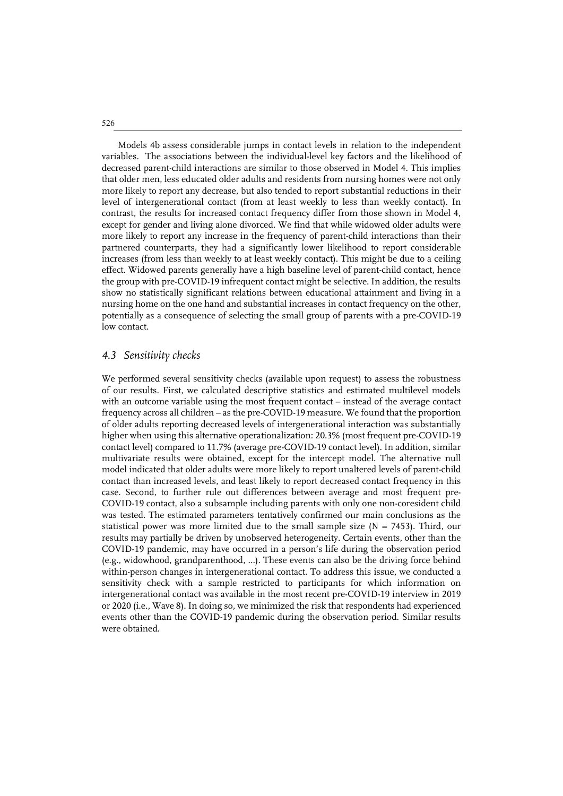Models 4b assess considerable jumps in contact levels in relation to the independent variables. The associations between the individual-level key factors and the likelihood of decreased parent-child interactions are similar to those observed in Model 4. This implies that older men, less educated older adults and residents from nursing homes were not only more likely to report any decrease, but also tended to report substantial reductions in their level of intergenerational contact (from at least weekly to less than weekly contact). In contrast, the results for increased contact frequency differ from those shown in Model 4, except for gender and living alone divorced. We find that while widowed older adults were more likely to report any increase in the frequency of parent-child interactions than their partnered counterparts, they had a significantly lower likelihood to report considerable increases (from less than weekly to at least weekly contact). This might be due to a ceiling effect. Widowed parents generally have a high baseline level of parent-child contact, hence the group with pre-COVID-19 infrequent contact might be selective. In addition, the results show no statistically significant relations between educational attainment and living in a nursing home on the one hand and substantial increases in contact frequency on the other, potentially as a consequence of selecting the small group of parents with a pre-COVID-19 low contact.

## *4.3 Sensitivity checks*

We performed several sensitivity checks (available upon request) to assess the robustness of our results. First, we calculated descriptive statistics and estimated multilevel models with an outcome variable using the most frequent contact – instead of the average contact frequency across all children – as the pre-COVID-19 measure. We found that the proportion of older adults reporting decreased levels of intergenerational interaction was substantially higher when using this alternative operationalization: 20.3% (most frequent pre-COVID-19 contact level) compared to 11.7% (average pre-COVID-19 contact level). In addition, similar multivariate results were obtained, except for the intercept model. The alternative null model indicated that older adults were more likely to report unaltered levels of parent-child contact than increased levels, and least likely to report decreased contact frequency in this case. Second, to further rule out differences between average and most frequent pre-COVID-19 contact, also a subsample including parents with only one non-coresident child was tested. The estimated parameters tentatively confirmed our main conclusions as the statistical power was more limited due to the small sample size  $(N = 7453)$ . Third, our results may partially be driven by unobserved heterogeneity. Certain events, other than the COVID-19 pandemic, may have occurred in a person's life during the observation period (e.g., widowhood, grandparenthood, …). These events can also be the driving force behind within-person changes in intergenerational contact. To address this issue, we conducted a sensitivity check with a sample restricted to participants for which information on intergenerational contact was available in the most recent pre-COVID-19 interview in 2019 or 2020 (i.e., Wave 8). In doing so, we minimized the risk that respondents had experienced events other than the COVID-19 pandemic during the observation period. Similar results were obtained.

526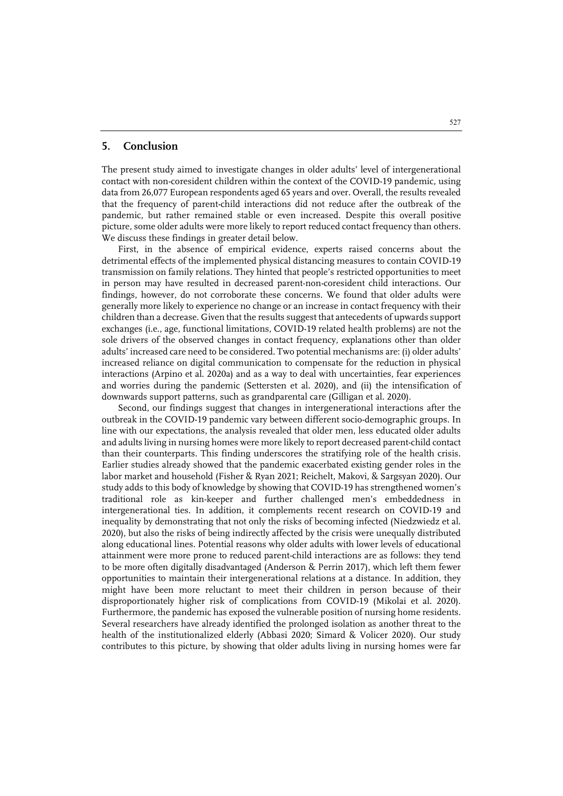#### **5. Conclusion**

The present study aimed to investigate changes in older adults' level of intergenerational contact with non-coresident children within the context of the COVID-19 pandemic, using data from 26,077 European respondents aged 65 years and over. Overall, the results revealed that the frequency of parent-child interactions did not reduce after the outbreak of the pandemic, but rather remained stable or even increased. Despite this overall positive picture, some older adults were more likely to report reduced contact frequency than others. We discuss these findings in greater detail below.

First, in the absence of empirical evidence, experts raised concerns about the detrimental effects of the implemented physical distancing measures to contain COVID-19 transmission on family relations. They hinted that people's restricted opportunities to meet in person may have resulted in decreased parent-non-coresident child interactions. Our findings, however, do not corroborate these concerns. We found that older adults were generally more likely to experience no change or an increase in contact frequency with their children than a decrease. Given that the results suggest that antecedents of upwards support exchanges (i.e., age, functional limitations, COVID-19 related health problems) are not the sole drivers of the observed changes in contact frequency, explanations other than older adults' increased care need to be considered. Two potential mechanisms are: (i) older adults' increased reliance on digital communication to compensate for the reduction in physical interactions (Arpino et al. 2020a) and as a way to deal with uncertainties, fear experiences and worries during the pandemic (Settersten et al. 2020), and (ii) the intensification of downwards support patterns, such as grandparental care (Gilligan et al. 2020).

Second, our findings suggest that changes in intergenerational interactions after the outbreak in the COVID-19 pandemic vary between different socio-demographic groups. In line with our expectations, the analysis revealed that older men, less educated older adults and adults living in nursing homes were more likely to report decreased parent-child contact than their counterparts. This finding underscores the stratifying role of the health crisis. Earlier studies already showed that the pandemic exacerbated existing gender roles in the labor market and household (Fisher & Ryan 2021; Reichelt, Makovi, & Sargsyan 2020). Our study adds to this body of knowledge by showing that COVID-19 has strengthened women's traditional role as kin-keeper and further challenged men's embeddedness in intergenerational ties. In addition, it complements recent research on COVID-19 and inequality by demonstrating that not only the risks of becoming infected (Niedzwiedz et al. 2020), but also the risks of being indirectly affected by the crisis were unequally distributed along educational lines. Potential reasons why older adults with lower levels of educational attainment were more prone to reduced parent-child interactions are as follows: they tend to be more often digitally disadvantaged (Anderson & Perrin 2017), which left them fewer opportunities to maintain their intergenerational relations at a distance. In addition, they might have been more reluctant to meet their children in person because of their disproportionately higher risk of complications from COVID-19 (Mikolai et al. 2020). Furthermore, the pandemic has exposed the vulnerable position of nursing home residents. Several researchers have already identified the prolonged isolation as another threat to the health of the institutionalized elderly (Abbasi 2020; Simard & Volicer 2020). Our study contributes to this picture, by showing that older adults living in nursing homes were far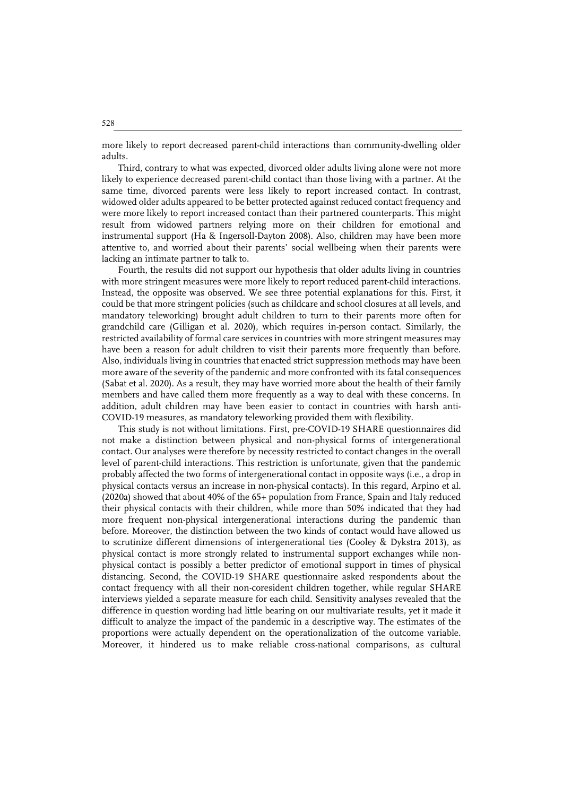more likely to report decreased parent-child interactions than community-dwelling older adults.

Third, contrary to what was expected, divorced older adults living alone were not more likely to experience decreased parent-child contact than those living with a partner. At the same time, divorced parents were less likely to report increased contact. In contrast, widowed older adults appeared to be better protected against reduced contact frequency and were more likely to report increased contact than their partnered counterparts. This might result from widowed partners relying more on their children for emotional and instrumental support (Ha & Ingersoll-Dayton 2008). Also, children may have been more attentive to, and worried about their parents' social wellbeing when their parents were lacking an intimate partner to talk to.

Fourth, the results did not support our hypothesis that older adults living in countries with more stringent measures were more likely to report reduced parent-child interactions. Instead, the opposite was observed. We see three potential explanations for this. First, it could be that more stringent policies (such as childcare and school closures at all levels, and mandatory teleworking) brought adult children to turn to their parents more often for grandchild care (Gilligan et al. 2020), which requires in-person contact. Similarly, the restricted availability of formal care services in countries with more stringent measures may have been a reason for adult children to visit their parents more frequently than before. Also, individuals living in countries that enacted strict suppression methods may have been more aware of the severity of the pandemic and more confronted with its fatal consequences (Sabat et al. 2020). As a result, they may have worried more about the health of their family members and have called them more frequently as a way to deal with these concerns. In addition, adult children may have been easier to contact in countries with harsh anti-COVID-19 measures, as mandatory teleworking provided them with flexibility.

This study is not without limitations. First, pre-COVID-19 SHARE questionnaires did not make a distinction between physical and non-physical forms of intergenerational contact. Our analyses were therefore by necessity restricted to contact changes in the overall level of parent-child interactions. This restriction is unfortunate, given that the pandemic probably affected the two forms of intergenerational contact in opposite ways (i.e., a drop in physical contacts versus an increase in non-physical contacts). In this regard, Arpino et al. (2020a) showed that about 40% of the 65+ population from France, Spain and Italy reduced their physical contacts with their children, while more than 50% indicated that they had more frequent non-physical intergenerational interactions during the pandemic than before. Moreover, the distinction between the two kinds of contact would have allowed us to scrutinize different dimensions of intergenerational ties (Cooley & Dykstra 2013), as physical contact is more strongly related to instrumental support exchanges while nonphysical contact is possibly a better predictor of emotional support in times of physical distancing. Second, the COVID-19 SHARE questionnaire asked respondents about the contact frequency with all their non-coresident children together, while regular SHARE interviews yielded a separate measure for each child. Sensitivity analyses revealed that the difference in question wording had little bearing on our multivariate results, yet it made it difficult to analyze the impact of the pandemic in a descriptive way. The estimates of the proportions were actually dependent on the operationalization of the outcome variable. Moreover, it hindered us to make reliable cross-national comparisons, as cultural

528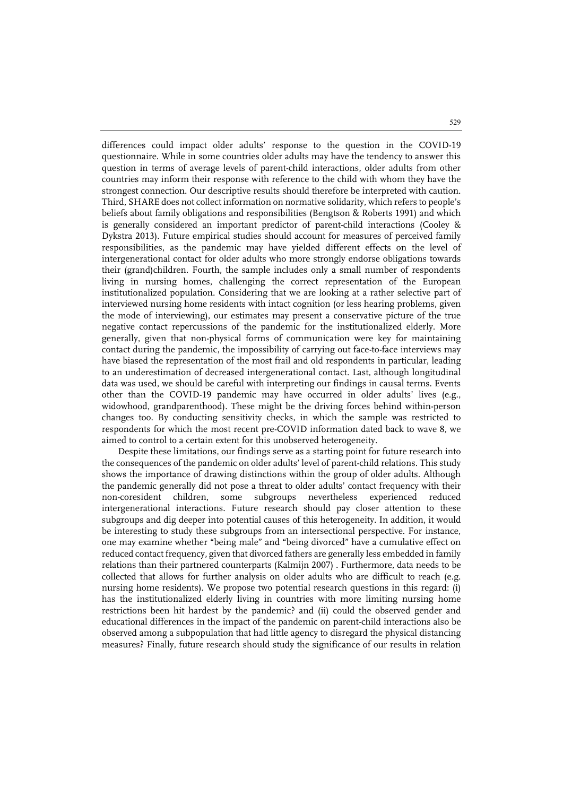differences could impact older adults' response to the question in the COVID-19 questionnaire. While in some countries older adults may have the tendency to answer this question in terms of average levels of parent-child interactions, older adults from other countries may inform their response with reference to the child with whom they have the strongest connection. Our descriptive results should therefore be interpreted with caution. Third, SHARE does not collect information on normative solidarity, which refers to people's beliefs about family obligations and responsibilities (Bengtson & Roberts 1991) and which is generally considered an important predictor of parent-child interactions (Cooley & Dykstra 2013). Future empirical studies should account for measures of perceived family responsibilities, as the pandemic may have yielded different effects on the level of intergenerational contact for older adults who more strongly endorse obligations towards their (grand)children. Fourth, the sample includes only a small number of respondents living in nursing homes, challenging the correct representation of the European institutionalized population. Considering that we are looking at a rather selective part of interviewed nursing home residents with intact cognition (or less hearing problems, given the mode of interviewing), our estimates may present a conservative picture of the true negative contact repercussions of the pandemic for the institutionalized elderly. More generally, given that non-physical forms of communication were key for maintaining contact during the pandemic, the impossibility of carrying out face-to-face interviews may have biased the representation of the most frail and old respondents in particular, leading to an underestimation of decreased intergenerational contact. Last, although longitudinal data was used, we should be careful with interpreting our findings in causal terms. Events other than the COVID-19 pandemic may have occurred in older adults' lives (e.g., widowhood, grandparenthood). These might be the driving forces behind within-person changes too. By conducting sensitivity checks, in which the sample was restricted to respondents for which the most recent pre-COVID information dated back to wave 8, we aimed to control to a certain extent for this unobserved heterogeneity.

Despite these limitations, our findings serve as a starting point for future research into the consequences of the pandemic on older adults' level of parent-child relations. This study shows the importance of drawing distinctions within the group of older adults. Although the pandemic generally did not pose a threat to older adults' contact frequency with their non-coresident children, some subgroups nevertheless experienced reduced intergenerational interactions. Future research should pay closer attention to these subgroups and dig deeper into potential causes of this heterogeneity. In addition, it would be interesting to study these subgroups from an intersectional perspective. For instance, one may examine whether "being male" and "being divorced" have a cumulative effect on reduced contact frequency, given that divorced fathers are generally less embedded in family relations than their partnered counterparts (Kalmijn 2007) . Furthermore, data needs to be collected that allows for further analysis on older adults who are difficult to reach (e.g. nursing home residents). We propose two potential research questions in this regard: (i) has the institutionalized elderly living in countries with more limiting nursing home restrictions been hit hardest by the pandemic? and (ii) could the observed gender and educational differences in the impact of the pandemic on parent-child interactions also be observed among a subpopulation that had little agency to disregard the physical distancing measures? Finally, future research should study the significance of our results in relation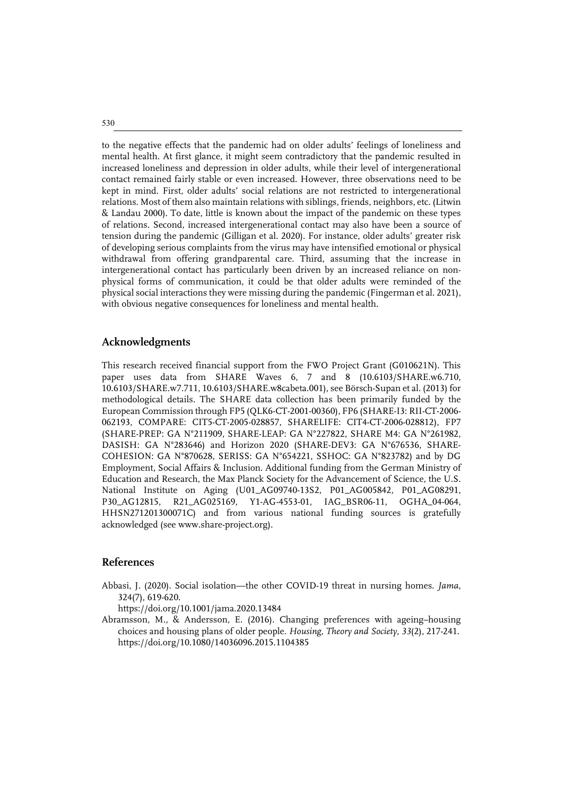to the negative effects that the pandemic had on older adults' feelings of loneliness and mental health. At first glance, it might seem contradictory that the pandemic resulted in increased loneliness and depression in older adults, while their level of intergenerational contact remained fairly stable or even increased. However, three observations need to be kept in mind. First, older adults' social relations are not restricted to intergenerational relations. Most of them also maintain relations with siblings, friends, neighbors, etc. (Litwin & Landau 2000). To date, little is known about the impact of the pandemic on these types of relations. Second, increased intergenerational contact may also have been a source of tension during the pandemic (Gilligan et al. 2020). For instance, older adults' greater risk of developing serious complaints from the virus may have intensified emotional or physical withdrawal from offering grandparental care. Third, assuming that the increase in intergenerational contact has particularly been driven by an increased reliance on nonphysical forms of communication, it could be that older adults were reminded of the physical social interactions they were missing during the pandemic (Fingerman et al. 2021), with obvious negative consequences for loneliness and mental health.

# **Acknowledgments**

This research received financial support from the FWO Project Grant (G010621N). This paper uses data from SHARE Waves 6, 7 and 8 (10.6103/SHARE.w6.710, 10.6103/SHARE.w7.711, 10.6103/SHARE.w8cabeta.001), see Börsch-Supan et al. (2013) for methodological details. The SHARE data collection has been primarily funded by the European Commission through FP5 (QLK6-CT-2001-00360), FP6 (SHARE-I3: RII-CT-2006- 062193, COMPARE: CIT5-CT-2005-028857, SHARELIFE: CIT4-CT-2006-028812), FP7 (SHARE-PREP: GA N°211909, SHARE-LEAP: GA N°227822, SHARE M4: GA N°261982, DASISH: GA N°283646) and Horizon 2020 (SHARE-DEV3: GA N°676536, SHARE-COHESION: GA N°870628, SERISS: GA N°654221, SSHOC: GA N°823782) and by DG Employment, Social Affairs & Inclusion. Additional funding from the German Ministry of Education and Research, the Max Planck Society for the Advancement of Science, the U.S. National Institute on Aging (U01\_AG09740-13S2, P01\_AG005842, P01\_AG08291, P30\_AG12815, R21\_AG025169, Y1-AG-4553-01, IAG\_BSR06-11, OGHA\_04-064, HHSN271201300071C) and from various national funding sources is gratefully acknowledged (see www.share-project.org).

#### **References**

Abbasi, J. (2020). Social isolation—the other COVID-19 threat in nursing homes. *Jama*, 324(7), 619-620.

https://doi.org/10.1001/jama.2020.13484

Abramsson, M., & Andersson, E. (2016). Changing preferences with ageing–housing choices and housing plans of older people. *Housing, Theory and Society*, *33*(2), 217-241. https://doi.org/10.1080/14036096.2015.1104385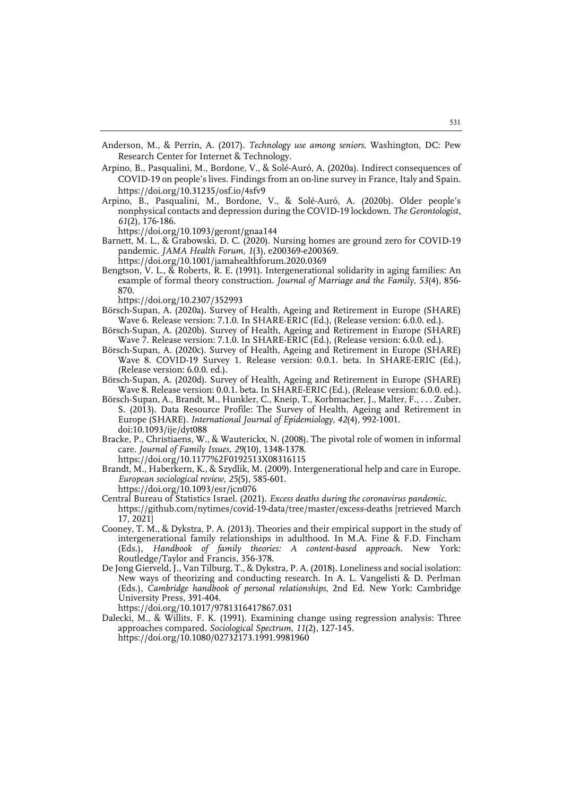Anderson, M., & Perrin, A. (2017). *Technology use among seniors*. Washington, DC: Pew Research Center for Internet & Technology.

- Arpino, B., Pasqualini, M., Bordone, V., & Solé-Auró, A. (2020a). Indirect consequences of COVID-19 on people's lives. Findings from an on-line survey in France, Italy and Spain. https://doi.org/10.31235/osf.io/4sfv9
- Arpino, B., Pasqualini, M., Bordone, V., & Solé-Auró, A. (2020b). Older people's nonphysical contacts and depression during the COVID-19 lockdown. *The Gerontologist*, *61*(2), 176-186.

https://doi.org/10.1093/geront/gnaa144

- Barnett, M. L., & Grabowski, D. C. (2020). Nursing homes are ground zero for COVID-19 pandemic. *JAMA Health Forum, 1*(3), e200369-e200369. https://doi.org/10.1001/jamahealthforum.2020.0369
- Bengtson, V. L., & Roberts, R. E. (1991). Intergenerational solidarity in aging families: An example of formal theory construction. *Journal of Marriage and the Family, 53*(4), 856- 870.

https://doi.org/10.2307/352993

- Börsch-Supan, A. (2020a). Survey of Health, Ageing and Retirement in Europe (SHARE) Wave 6. Release version: 7.1.0. In SHARE-ERIC (Ed.), (Release version: 6.0.0. ed.).
- Börsch-Supan, A. (2020b). Survey of Health, Ageing and Retirement in Europe (SHARE) Wave 7. Release version: 7.1.0. In SHARE-ERIC (Ed.), (Release version: 6.0.0. ed.).
- Börsch-Supan, A. (2020c). Survey of Health, Ageing and Retirement in Europe (SHARE) Wave 8. COVID-19 Survey 1. Release version: 0.0.1. beta. In SHARE-ERIC (Ed.), (Release version: 6.0.0. ed.).
- Börsch-Supan, A. (2020d). Survey of Health, Ageing and Retirement in Europe (SHARE) Wave 8. Release version: 0.0.1. beta. In SHARE-ERIC (Ed.), (Release version: 6.0.0. ed.).
- Börsch-Supan, A., Brandt, M., Hunkler, C., Kneip, T., Korbmacher, J., Malter, F., . . . Zuber, S. (2013). Data Resource Profile: The Survey of Health, Ageing and Retirement in Europe (SHARE). *International Journal of Epidemiology, 42*(4), 992-1001. doi:10.1093/ije/dyt088
- Bracke, P., Christiaens, W., & Wauterickx, N. (2008). The pivotal role of women in informal care. *Journal of Family Issues, 29*(10), 1348-1378. https://doi.org/10.1177%2F0192513X08316115
- Brandt, M., Haberkern, K., & Szydlik, M. (2009). Intergenerational help and care in Europe. *European sociological review, 25*(5), 585-601. https://doi.org/10.1093/esr/jcn076
- Central Bureau of Statistics Israel. (2021). *Excess deaths during the coronavirus pandemic.* https://github.com/nytimes/covid-19-data/tree/master/excess-deaths [retrieved March 17, 2021]
- Cooney, T. M., & Dykstra, P. A. (2013). Theories and their empirical support in the study of intergenerational family relationships in adulthood. In M.A. Fine & F.D. Fincham (Eds.), *Handbook of family theories: A content-based approach*. New York: Routledge/Taylor and Francis, 356-378.
- De Jong Gierveld, J., Van Tilburg, T., & Dykstra, P. A. (2018). Loneliness and social isolation: New ways of theorizing and conducting research. In A. L. Vangelisti & D. Perlman (Eds.), *Cambridge handbook of personal relationships*, 2nd Ed. New York: Cambridge University Press, 391-404. https://doi.org/10.1017/9781316417867.031
- Dalecki, M., & Willits, F. K. (1991). Examining change using regression analysis: Three approaches compared. *Sociological Spectrum*, *11*(2), 127-145.
	- https://doi.org/10.1080/02732173.1991.9981960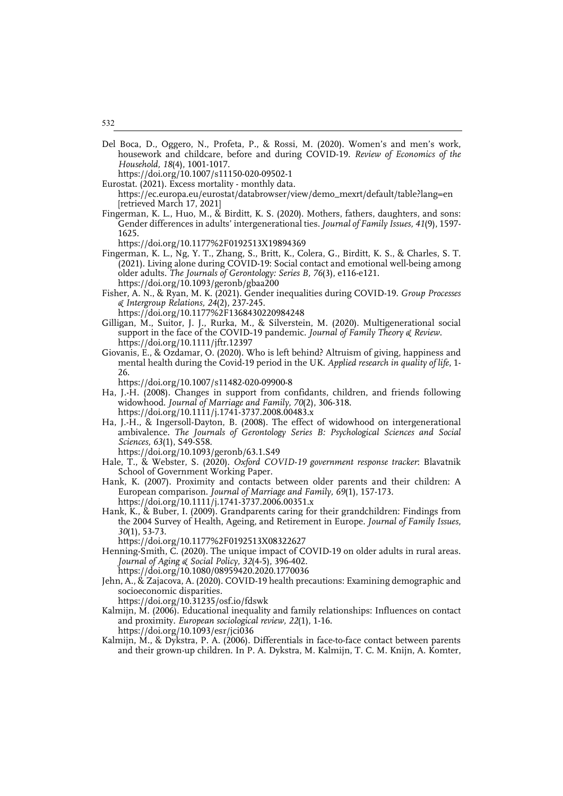Del Boca, D., Oggero, N., Profeta, P., & Rossi, M. (2020). Women's and men's work, housework and childcare, before and during COVID-19. *Review of Economics of the Household, 18*(4), 1001-1017.

https://doi.org/10.1007/s11150-020-09502-1

- Eurostat. (2021). Excess mortality monthly data. https://ec.europa.eu/eurostat/databrowser/view/demo\_mexrt/default/table?lang=en [retrieved March 17, 2021]
- Fingerman, K. L., Huo, M., & Birditt, K. S. (2020). Mothers, fathers, daughters, and sons: Gender differences in adults' intergenerational ties. *Journal of Family Issues, 41*(9), 1597- 1625.
	- https://doi.org/10.1177%2F0192513X19894369
- Fingerman, K. L., Ng, Y. T., Zhang, S., Britt, K., Colera, G., Birditt, K. S., & Charles, S. T. (2021). Living alone during COVID-19: Social contact and emotional well-being among older adults. *The Journals of Gerontology: Series B, 76*(3), e116-e121. https://doi.org/10.1093/geronb/gbaa200
- Fisher, A. N., & Ryan, M. K. (2021). Gender inequalities during COVID-19. *Group Processes & Intergroup Relations, 24*(2), 237-245. https://doi.org/10.1177%2F1368430220984248
- Gilligan, M., Suitor, J. J., Rurka, M., & Silverstein, M. (2020). Multigenerational social support in the face of the COVID‐19 pandemic. *Journal of Family Theory & Review*. https://doi.org/10.1111/jftr.12397
- Giovanis, E., & Ozdamar, O. (2020). Who is left behind? Altruism of giving, happiness and mental health during the Covid-19 period in the UK. *Applied research in quality of life*, 1- 26.
- https://doi.org/10.1007/s11482-020-09900-8
- Ha, J.-H. (2008). Changes in support from confidants, children, and friends following widowhood. *Journal of Marriage and Family, 70*(2), 306-318. https://doi.org/10.1111/j.1741-3737.2008.00483.x
- Ha, J.-H., & Ingersoll-Dayton, B. (2008). The effect of widowhood on intergenerational ambivalence. *The Journals of Gerontology Series B: Psychological Sciences and Social Sciences, 63*(1), S49-S58.
	- https://doi.org/10.1093/geronb/63.1.S49
- Hale, T., & Webster, S. (2020). *Oxford COVID-19 government response tracker*: Blavatnik School of Government Working Paper.
- Hank, K. (2007). Proximity and contacts between older parents and their children: A European comparison. *Journal of Marriage and Family, 69*(1), 157-173. https://doi.org/10.1111/j.1741-3737.2006.00351.x
- Hank, K., & Buber, I. (2009). Grandparents caring for their grandchildren: Findings from the 2004 Survey of Health, Ageing, and Retirement in Europe. *Journal of Family Issues, 30*(1), 53-73.

https://doi.org/10.1177%2F0192513X08322627

- Henning-Smith, C. (2020). The unique impact of COVID-19 on older adults in rural areas. *Journal of Aging & Social Policy, 32*(4-5), 396-402.
	- https://doi.org/10.1080/08959420.2020.1770036
- Jehn, A., & Zajacova, A. (2020). COVID-19 health precautions: Examining demographic and socioeconomic disparities.

https://doi.org/10.31235/osf.io/fdswk

- Kalmijn, M. (2006). Educational inequality and family relationships: Influences on contact and proximity. *European sociological review, 22*(1), 1-16. https://doi.org/10.1093/esr/jci036
- Kalmijn, M., & Dykstra, P. A. (2006). Differentials in face-to-face contact between parents and their grown-up children. In P. A. Dykstra, M. Kalmijn, T. C. M. Knijn, A. Komter,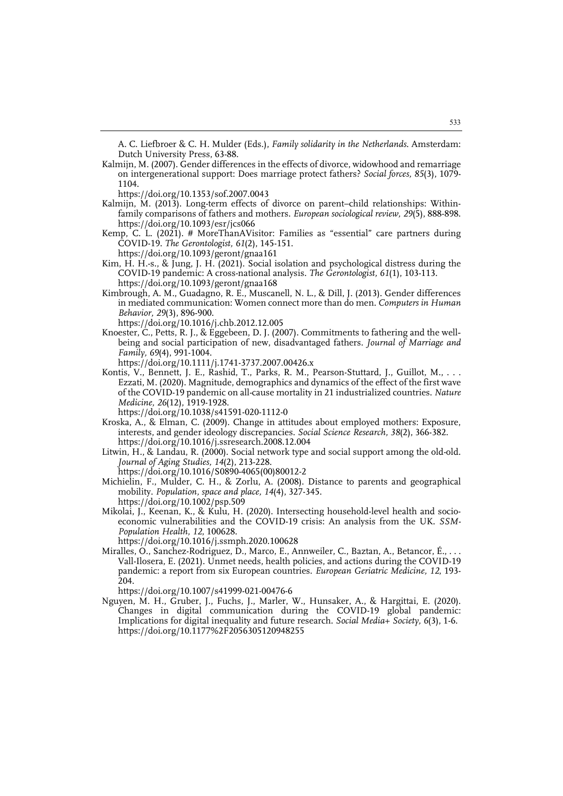A. C. Liefbroer & C. H. Mulder (Eds.), *Family solidarity in the Netherlands*. Amsterdam: Dutch University Press, 63-88.

Kalmijn, M. (2007). Gender differences in the effects of divorce, widowhood and remarriage on intergenerational support: Does marriage protect fathers? *Social forces, 85*(3), 1079- 1104.

https://doi.org/10.1353/sof.2007.0043

- Kalmijn, M. (2013). Long-term effects of divorce on parent–child relationships: Withinfamily comparisons of fathers and mothers. *European sociological review, 29*(5), 888-898. https://doi.org/10.1093/esr/jcs066
- Kemp, C. L. (2021). # MoreThanAVisitor: Families as "essential" care partners during COVID-19. *The Gerontologist, 61*(2), 145-151. https://doi.org/10.1093/geront/gnaa161
- Kim, H. H.-s., & Jung, J. H. (2021). Social isolation and psychological distress during the COVID-19 pandemic: A cross-national analysis. *The Gerontologist, 61*(1), 103-113. https://doi.org/10.1093/geront/gnaa168
- Kimbrough, A. M., Guadagno, R. E., Muscanell, N. L., & Dill, J. (2013). Gender differences in mediated communication: Women connect more than do men. *Computers in Human Behavior, 29*(3), 896-900.
	- https://doi.org/10.1016/j.chb.2012.12.005
- Knoester, C., Petts, R. J., & Eggebeen, D. J. (2007). Commitments to fathering and the wellbeing and social participation of new, disadvantaged fathers*. Journal of Marriage and Family, 69*(4), 991-1004.

https://doi.org/10.1111/j.1741-3737.2007.00426.x

Kontis, V., Bennett, J. E., Rashid, T., Parks, R. M., Pearson-Stuttard, J., Guillot, M., . . . Ezzati, M. (2020). Magnitude, demographics and dynamics of the effect of the first wave of the COVID-19 pandemic on all-cause mortality in 21 industrialized countries. *Nature Medicine, 26*(12), 1919-1928.

https://doi.org/10.1038/s41591-020-1112-0

- Kroska, A., & Elman, C. (2009). Change in attitudes about employed mothers: Exposure, interests, and gender ideology discrepancies. *Social Science Research, 38*(2), 366-382. https://doi.org/10.1016/j.ssresearch.2008.12.004
- Litwin, H., & Landau, R. (2000). Social network type and social support among the old-old. *Journal of Aging Studies, 14*(2), 213-228.

https://doi.org/10.1016/S0890-4065(00)80012-2

- Michielin, F., Mulder, C. H., & Zorlu, A. (2008). Distance to parents and geographical mobility. *Population, space and place, 14*(4), 327-345. https://doi.org/10.1002/psp.509
- Mikolai, J., Keenan, K., & Kulu, H. (2020). Intersecting household-level health and socioeconomic vulnerabilities and the COVID-19 crisis: An analysis from the UK. *SSM-Population Health, 12*, 100628.

https://doi.org/10.1016/j.ssmph.2020.100628

Miralles, O., Sanchez-Rodriguez, D., Marco, E., Annweiler, C., Baztan, A., Betancor, É., . . . Vall-Ilosera, E. (2021). Unmet needs, health policies, and actions during the COVID-19 pandemic: a report from six European countries. *European Geriatric Medicine, 12*, 193- 204.

https://doi.org/10.1007/s41999-021-00476-6

Nguyen, M. H., Gruber, J., Fuchs, J., Marler, W., Hunsaker, A., & Hargittai, E. (2020). Changes in digital communication during the COVID-19 global pandemic: Implications for digital inequality and future research. *Social Media+ Society, 6*(3), 1-6. https://doi.org/10.1177%2F2056305120948255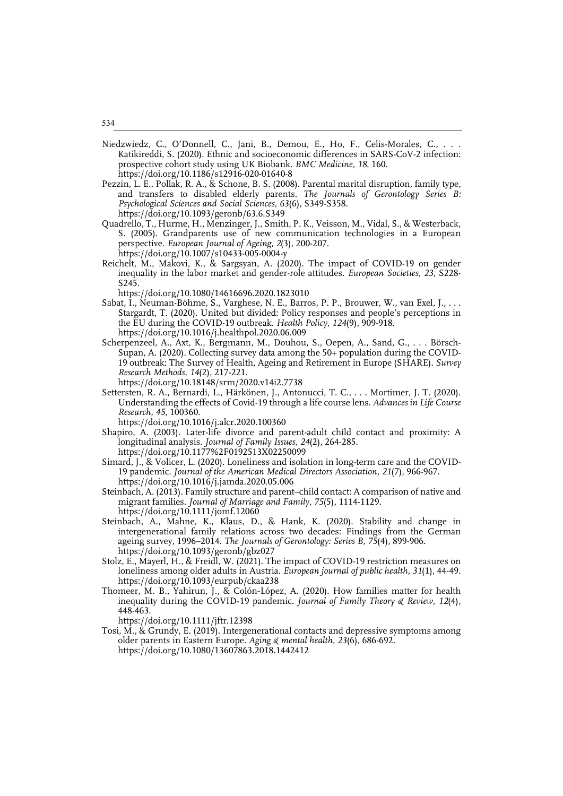- Niedzwiedz, C., O'Donnell, C., Jani, B., Demou, E., Ho, F., Celis-Morales, C., . . . Katikireddi, S. (2020). Ethnic and socioeconomic differences in SARS-CoV-2 infection: prospective cohort study using UK Biobank. *BMC Medicine, 18*, 160. https://doi.org/10.1186/s12916-020-01640-8
- Pezzin, L. E., Pollak, R. A., & Schone, B. S. (2008). Parental marital disruption, family type, and transfers to disabled elderly parents. *The Journals of Gerontology Series B: Psychological Sciences and Social Sciences, 63*(6), S349-S358. https://doi.org/10.1093/geronb/63.6.S349
- Quadrello, T., Hurme, H., Menzinger, J., Smith, P. K., Veisson, M., Vidal, S., & Westerback, S. (2005). Grandparents use of new communication technologies in a European perspective. *European Journal of Ageing, 2*(3), 200-207. https://doi.org/10.1007/s10433-005-0004-y
- Reichelt, M., Makovi, K., & Sargsyan, A. (2020). The impact of COVID-19 on gender inequality in the labor market and gender-role attitudes. *European Societies, 23*, S228- S245.

https://doi.org/10.1080/14616696.2020.1823010

- Sabat, I., Neuman-Böhme, S., Varghese, N. E., Barros, P. P., Brouwer, W., van Exel, J., . . . Stargardt, T. (2020). United but divided: Policy responses and people's perceptions in the EU during the COVID-19 outbreak. *Health Policy, 124*(9), 909-918. https://doi.org/10.1016/j.healthpol.2020.06.009
- Scherpenzeel, A., Axt, K., Bergmann, M., Douhou, S., Oepen, A., Sand, G., . . . Börsch-Supan, A. (2020). Collecting survey data among the 50+ population during the COVID-19 outbreak: The Survey of Health, Ageing and Retirement in Europe (SHARE). *Survey Research Methods, 14*(2), 217-221.

https://doi.org/10.18148/srm/2020.v14i2.7738

- Settersten, R. A., Bernardi, L., Härkönen, J., Antonucci, T. C., . . . Mortimer, J. T. (2020). Understanding the effects of Covid-19 through a life course lens. *Advances in Life Course Research, 45*, 100360.
	- https://doi.org/10.1016/j.alcr.2020.100360
- Shapiro, A. (2003). Later-life divorce and parent-adult child contact and proximity: A longitudinal analysis. *Journal of Family Issues, 24*(2), 264-285. https://doi.org/10.1177%2F0192513X02250099
- Simard, J., & Volicer, L. (2020). Loneliness and isolation in long-term care and the COVID-19 pandemic. *Journal of the American Medical Directors Association, 21*(7), 966-967. https://doi.org/10.1016/j.jamda.2020.05.006
- Steinbach, A. (2013). Family structure and parent–child contact: A comparison of native and migrant families. *Journal of Marriage and Family, 75*(5), 1114-1129. https://doi.org/10.1111/jomf.12060
- Steinbach, A., Mahne, K., Klaus, D., & Hank, K. (2020). Stability and change in intergenerational family relations across two decades: Findings from the German ageing survey, 1996–2014. *The Journals of Gerontology: Series B, 75*(4), 899-906. https://doi.org/10.1093/geronb/gbz027
- Stolz, E., Mayerl, H., & Freidl, W. (2021). The impact of COVID-19 restriction measures on loneliness among older adults in Austria. *European journal of public health, 31*(1), 44-49. https://doi.org/10.1093/eurpub/ckaa238
- Thomeer, M. B., Yahirun, J., & Colón‐López, A. (2020). How families matter for health inequality during the COVID‐19 pandemic. *Journal of Family Theory & Review, 12*(4), 448-463.

https://doi.org/10.1111/jftr.12398

Tosi, M., & Grundy, E. (2019). Intergenerational contacts and depressive symptoms among older parents in Eastern Europe. *Aging & mental health, 23*(6), 686-692. https://doi.org/10.1080/13607863.2018.1442412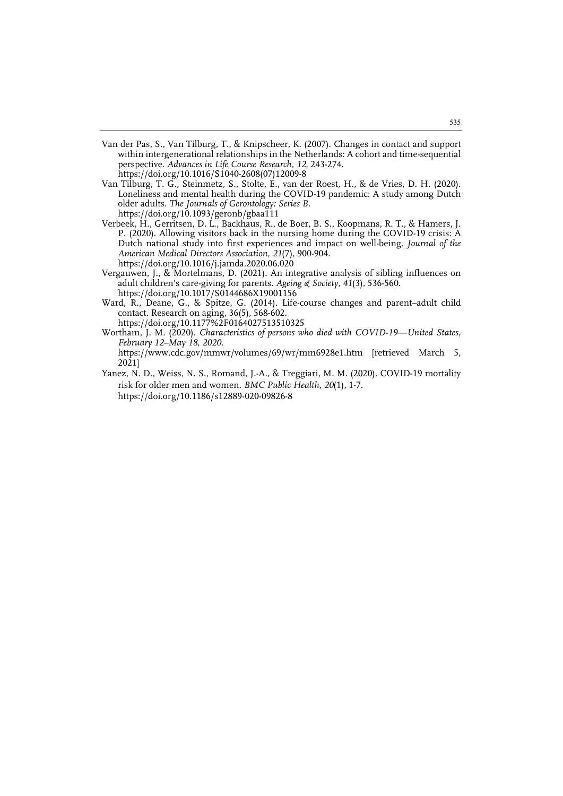- Van der Pas, S., Van Tilburg, T., & Knipscheer, K. (2007). Changes in contact and support within intergenerational relationships in the Netherlands: A cohort and time-sequential perspective. *Advances in Life Course Research, 12*, 243-274. https://doi.org/10.1016/S1040-2608(07)12009-8
- Van Tilburg, T. G., Steinmetz, S., Stolte, E., van der Roest, H., & de Vries, D. H. (2020). Loneliness and mental health during the COVID-19 pandemic: A study among Dutch older adults. *The Journals of Gerontology: Series B*. https://doi.org/10.1093/geronb/gbaa111
- Verbeek, H., Gerritsen, D. L., Backhaus, R., de Boer, B. S., Koopmans, R. T., & Hamers, J. P. (2020). Allowing visitors back in the nursing home during the COVID-19 crisis: A Dutch national study into first experiences and impact on well-being. *Journal of the American Medical Directors Association, 21*(7), 900-904. https://doi.org/10.1016/j.jamda.2020.06.020
- Vergauwen, J., & Mortelmans, D. (2021). An integrative analysis of sibling influences on adult children's care-giving for parents. *Ageing & Society, 41*(3), 536-560. https://doi.org/10.1017/S0144686X19001156
- Ward, R., Deane, G., & Spitze, G. (2014). Life-course changes and parent–adult child contact. Research on aging, 36(5), 568-602. https://doi.org/10.1177%2F0164027513510325
- Wortham, J. M. (2020). *Characteristics of persons who died with COVID-19—United States, February 12–May 18, 2020.* https://www.cdc.gov/mmwr/volumes/69/wr/mm6928e1.htm [retrieved March 5, 2021]
- Yanez, N. D., Weiss, N. S., Romand, J.-A., & Treggiari, M. M. (2020). COVID-19 mortality risk for older men and women. *BMC Public Health, 20*(1), 1-7. https://doi.org/10.1186/s12889-020-09826-8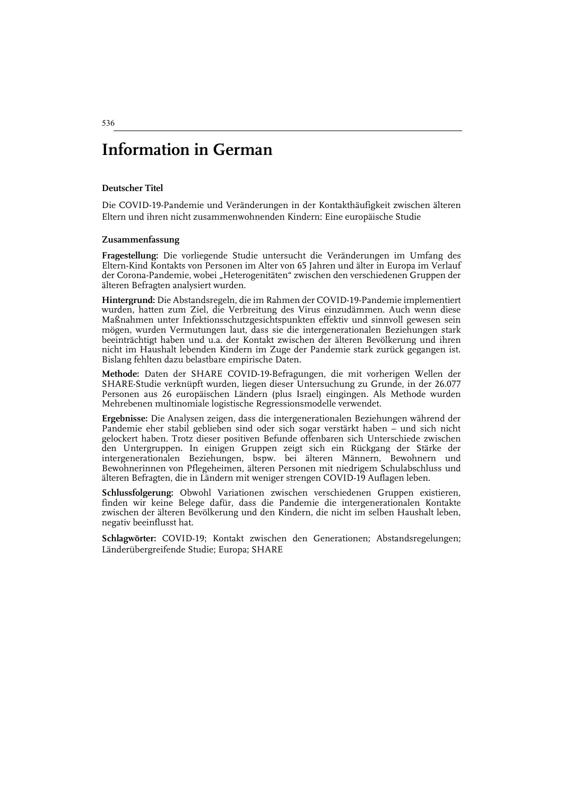# **Information in German**

#### **Deutscher Titel**

Die COVID-19-Pandemie und Veränderungen in der Kontakthäufigkeit zwischen älteren Eltern und ihren nicht zusammenwohnenden Kindern: Eine europäische Studie

#### **Zusammenfassung**

**Fragestellung:** Die vorliegende Studie untersucht die Veränderungen im Umfang des Eltern-Kind Kontakts von Personen im Alter von 65 Jahren und älter in Europa im Verlauf der Corona-Pandemie, wobei "Heterogenitäten" zwischen den verschiedenen Gruppen der älteren Befragten analysiert wurden.

**Hintergrund:** Die Abstandsregeln, die im Rahmen der COVID-19-Pandemie implementiert wurden, hatten zum Ziel, die Verbreitung des Virus einzudämmen. Auch wenn diese Maßnahmen unter Infektionsschutzgesichtspunkten effektiv und sinnvoll gewesen sein mögen, wurden Vermutungen laut, dass sie die intergenerationalen Beziehungen stark beeinträchtigt haben und u.a. der Kontakt zwischen der älteren Bevölkerung und ihren nicht im Haushalt lebenden Kindern im Zuge der Pandemie stark zurück gegangen ist. Bislang fehlten dazu belastbare empirische Daten.

**Methode:** Daten der SHARE COVID-19-Befragungen, die mit vorherigen Wellen der SHARE-Studie verknüpft wurden, liegen dieser Untersuchung zu Grunde, in der 26.077 Personen aus 26 europäischen Ländern (plus Israel) eingingen. Als Methode wurden Mehrebenen multinomiale logistische Regressionsmodelle verwendet.

**Ergebnisse:** Die Analysen zeigen, dass die intergenerationalen Beziehungen während der Pandemie eher stabil geblieben sind oder sich sogar verstärkt haben – und sich nicht gelockert haben. Trotz dieser positiven Befunde offenbaren sich Unterschiede zwischen den Untergruppen. In einigen Gruppen zeigt sich ein Rückgang der Stärke der intergenerationalen Beziehungen, bspw. bei älteren Männern, Bewohnern und Bewohnerinnen von Pflegeheimen, älteren Personen mit niedrigem Schulabschluss und älteren Befragten, die in Ländern mit weniger strengen COVID-19 Auflagen leben.

**Schlussfolgerung:** Obwohl Variationen zwischen verschiedenen Gruppen existieren, finden wir keine Belege dafür, dass die Pandemie die intergenerationalen Kontakte zwischen der älteren Bevölkerung und den Kindern, die nicht im selben Haushalt leben, negativ beeinflusst hat.

**Schlagwörter:** COVID-19; Kontakt zwischen den Generationen; Abstandsregelungen; Länderübergreifende Studie; Europa; SHARE